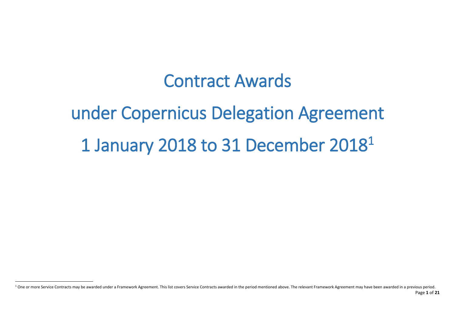# Contract Awards

# under Copernicus Delegation Agreement 1 January 2018 to 31 December 2018 1

 $\ddot{\phantom{a}}$ 

Page **1** of **21** <sup>1</sup> One or more Service Contracts may be awarded under a Framework Agreement. This list covers Service Contracts awarded in the period mentioned above. The relevant Framework Agreement may have been awarded in a previous p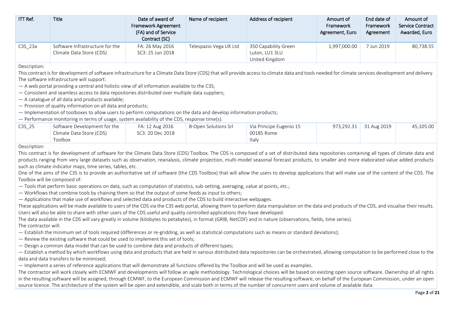| $IT$ Ref. | Title                                                       | Date of award of<br><b>Framework Agreement</b><br>(FA) and of Service<br>Contract (SC) | Name of recipient      | Address of recipient                                     | Amount of<br>Framework<br>Agreement, Euro | End date of<br>Framework<br>Agreement | Amount of<br>Service Contract<br>Awarded, Euro |
|-----------|-------------------------------------------------------------|----------------------------------------------------------------------------------------|------------------------|----------------------------------------------------------|-------------------------------------------|---------------------------------------|------------------------------------------------|
| $C3S_23a$ | Software Infrastructure for the<br>Climate Data Store (CDS) | FA: 26 May 2016<br>SC3: 25 Jun 2018                                                    | Telespazio Vega UK Ltd | 350 Capability Green<br>Luton, LU1 3LU<br>United Kingdom | 1,997,000.00                              | 7 Jun 2019                            | 80,738.55                                      |

Description:

This contract is for development of software infrastructure for a Climate Data Store (CDS) that will provide access to climate data and tools needed for climate services development and delivery. The software infrastructure will support:

— A web portal providing a central and holistic view of all information available to the C3S;

— Consistent and seamless access to data repositories distributed over multiple data suppliers;

— A catalogue of all data and products available;

— Provision of quality information on all data and products;

— Implementation of toolboxes to allow users to perform computations on the data and develop information products;

— Performance monitoring in terms of usage, system availability of the CDS, response time(s).

| C3S 25 | Software Development for the | FA: 12 Aug 2016  | B-Open Solutions Srl | Via Principe Eugenio 15 | 973,292.31 31 Aug 2019 | 45.105.00 |
|--------|------------------------------|------------------|----------------------|-------------------------|------------------------|-----------|
|        | Climate Data Store (CDS)     | SC3: 20 Dec 2018 |                      | 00185 Rome              |                        |           |
|        | Toolbox                      |                  |                      | Italv                   |                        |           |

Description:

This contract is for development of software for the Climate Data Store (CDS) Toolbox. The CDS is composed of a set of distributed data repositories containing all types of climate data and products ranging from very large datasets such as observation, reanalysis, climate projection, multi-model seasonal forecast products, to smaller and more elaborated value added products such as climate indicator maps, time series, tables, etc.

One of the aims of the C3S is to provide an authoritative set of software (the CDS Toolbox) that will allow the users to develop applications that will make use of the content of the CDS. The Toolbox will be composed of:

— Tools that perform basic operations on data, such as computation of statistics, sub-setting, averaging, value at points, etc.;

— Workflows that combine tools by chaining them so that the output of some feeds as input to others;

— Applications that make use of workflows and selected data and products of the CDS to build interactive webpages.

These applications will be made available to users of the CDS via the C3S web portal, allowing them to perform data manipulation on the data and products of the CDS, and visualise their results. Users will also be able to share with other users of the CDS useful and quality controlled applications they have developed.

The data available in the CDS will vary greatly in volume (kilobytes to petabytes), in format (GRIB, NetCDF) and in nature (observations, fields, time series).

The contractor will:

— Establish the minimum set of tools required (differences or re-gridding, as well as statistical computations such as means or standard deviations);

- Review the existing software that could be used to implement this set of tools;
- Design a common data model that can be used to combine data and products of different types;

— Establish a method by which workflows using data and products that are held in various distributed data repositories can be orchestrated, allowing computation to be performed close to the data and data transfers to be minimised;

— Implement a series of reference applications that will demonstrate all functions offered by the Toolbox and will be used as examples.

The contractor will work closely with ECMWF and developments will follow an agile methodology. Technological choices will be based on existing open source software. Ownership of all rights in the resulting software will be assigned, through ECMWF, to the European Commission and ECMWF will release the resulting software, on behalf of the European Commission, under an open source licence. The architecture of the system will be open and extendible, and scale both in terms of the number of concurrent users and volume of available data.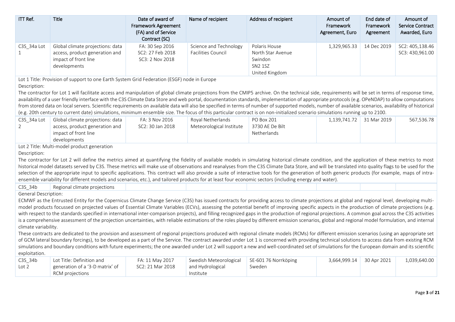| ITT Ref.                      | <b>Title</b>                                                                                                                                                                                                                                                                                                                                                                                                                                                                                                                                                                                                                                                                                                                                                                                                                                                                                 | Date of award of<br><b>Framework Agreement</b><br>(FA) and of Service<br>Contract (SC) | Name of recipient                             | Address of recipient                                                              | Amount of<br>Framework<br>Agreement, Euro | End date of<br>Framework<br>Agreement | Amount of<br><b>Service Contract</b><br>Awarded, Euro |
|-------------------------------|----------------------------------------------------------------------------------------------------------------------------------------------------------------------------------------------------------------------------------------------------------------------------------------------------------------------------------------------------------------------------------------------------------------------------------------------------------------------------------------------------------------------------------------------------------------------------------------------------------------------------------------------------------------------------------------------------------------------------------------------------------------------------------------------------------------------------------------------------------------------------------------------|----------------------------------------------------------------------------------------|-----------------------------------------------|-----------------------------------------------------------------------------------|-------------------------------------------|---------------------------------------|-------------------------------------------------------|
| C3S_34a Lot<br>$\mathbf{1}$   | Global climate projections: data<br>access, product generation and<br>impact of front line<br>developments                                                                                                                                                                                                                                                                                                                                                                                                                                                                                                                                                                                                                                                                                                                                                                                   | FA: 30 Sep 2016<br>SC2: 27 Feb 2018<br>SC3: 2 Nov 2018                                 | Science and Technology<br>Facilities Council  | Polaris House<br>North Star Avenue<br>Swindon<br><b>SN2 1SZ</b><br>United Kingdom | 1,329,965.33                              | 14 Dec 2019                           | SC2: 405,138.46<br>SC3: 430,961.00                    |
| Description:                  | Lot 1 Title: Provision of support to one Earth System Grid Federation (ESGF) node in Europe<br>The contractor for Lot 1 will facilitate access and manipulation of global climate projections from the CMIP5 archive. On the technical side, requirements will be set in terms of response time,<br>availability of a user friendly interface with the C3S Climate Data Store and web portal, documentation standards, implementation of appropriate protocols (e.g. OPeNDAP) to allow computations<br>from stored data on local servers. Scientific requirements on available data will also be specified in terms of number of supported models, number of available scenarios, availability of historical<br>(e.g. 20th century to current date) simulations, minimum ensemble size. The focus of this particular contract is on non-initialized scenario simulations running up to 2100. |                                                                                        |                                               |                                                                                   |                                           |                                       |                                                       |
| C3S_34a Lot<br>$\overline{2}$ | Global climate projections: data<br>access, product generation and<br>impact of front line<br>developments                                                                                                                                                                                                                                                                                                                                                                                                                                                                                                                                                                                                                                                                                                                                                                                   | FA: 3 Nov 2016<br>SC2: 30 Jan 2018                                                     | Royal Netherlands<br>Meteorological Institute | PO Box 201<br>3730 AE De Bilt<br>Netherlands                                      | 1,139,741.72                              | 31 Mar 2019                           | 567,536.78                                            |
| Description:                  | Lot 2 Title: Multi-model product generation<br>The contractor for Lot 2 will define the metrics aimed at quantifying the fidelity of available models in simulating historical climate condition, and the application of these metrics to most<br>historical model datasets served by C3S. These metrics will make use of observations and reanalyses from the C3S Climate Data Store, and will be translated into quality flags to be used for the<br>selection of the appropriate input to specific applications. This contract will also provide a suite of interactive tools for the generation of both generic products (for example, maps of intra-<br>ensemble variability for different models and scenarios, etc.), and tailored products for at least four economic sectors (including energy and water).                                                                          |                                                                                        |                                               |                                                                                   |                                           |                                       |                                                       |
| C3S 34b                       | Regional climate projections                                                                                                                                                                                                                                                                                                                                                                                                                                                                                                                                                                                                                                                                                                                                                                                                                                                                 |                                                                                        |                                               |                                                                                   |                                           |                                       |                                                       |
| <b>General Description:</b>   | ECMWF as the Entrusted Entity for the Copernicus Climate Change Service (C3S) has issued contracts for providing access to climate projections at global and regional level, developing multi-                                                                                                                                                                                                                                                                                                                                                                                                                                                                                                                                                                                                                                                                                               |                                                                                        |                                               |                                                                                   |                                           |                                       |                                                       |
|                               | model products focussed on projected values of Essential Climate Variables (ECVs), assessing the potential benefit of improving specific aspects in the production of climate projections (e.g.                                                                                                                                                                                                                                                                                                                                                                                                                                                                                                                                                                                                                                                                                              |                                                                                        |                                               |                                                                                   |                                           |                                       |                                                       |
| climate variability.          | with respect to the standards specified in international inter-comparison projects), and filling recognized gaps in the production of regional projections. A common goal across the C3S activities<br>is a comprehensive assessment of the projection uncertainties, with reliable estimations of the roles played by different emission scenarios, global and regional model formulation, and internal                                                                                                                                                                                                                                                                                                                                                                                                                                                                                     |                                                                                        |                                               |                                                                                   |                                           |                                       |                                                       |
|                               | These contracts are dedicated to the provision and assessment of regional projections produced with regional climate models (RCMs) for different emission scenarios (using an appropriate set<br>of GCM lateral boundary forcings), to be developed as a part of the Service. The contract awarded under Lot 1 is concerned with providing technical solutions to access data from existing RCM<br>simulations and boundary conditions with future experiments; the one awarded under Lot 2 will support a new and well-coordinated set of simulations for the European domain and its scientific                                                                                                                                                                                                                                                                                            |                                                                                        |                                               |                                                                                   |                                           |                                       |                                                       |
| exploitation.                 |                                                                                                                                                                                                                                                                                                                                                                                                                                                                                                                                                                                                                                                                                                                                                                                                                                                                                              |                                                                                        |                                               |                                                                                   |                                           |                                       |                                                       |
| C3S_34b                       | Lot Title: Definition and                                                                                                                                                                                                                                                                                                                                                                                                                                                                                                                                                                                                                                                                                                                                                                                                                                                                    | FA: 11 May 2017                                                                        | Swedish Meteorological                        | SE-601 76 Norrköping                                                              | 3,664,999.14                              | 30 Apr 2021                           | 1,039,640.00                                          |
| Lot 2                         | generation of a '3-D matrix' of<br>RCM projections                                                                                                                                                                                                                                                                                                                                                                                                                                                                                                                                                                                                                                                                                                                                                                                                                                           | SC2: 21 Mar 2018                                                                       | and Hydrological<br>Institute                 | Sweden                                                                            |                                           |                                       |                                                       |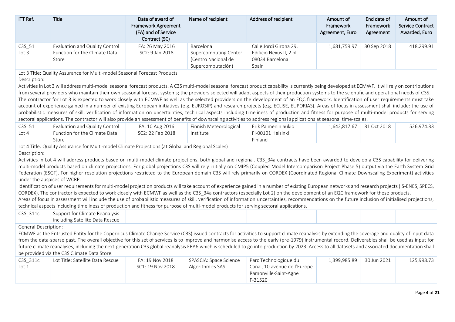| ITT Ref.                                    | Title                                                                                                                                                                                                                                                                                                                                                                                                                                                                                                                                                                                                                                                                                                                                                                                                                                                                                                                                                                                                                                                                                                                                                                                                                                                                                                                                                                                                                                   | Date of award of<br><b>Framework Agreement</b><br>(FA) and of Service<br>Contract (SC) | Name of recipient                                                                     | Address of recipient                                                                      | Amount of<br>Framework<br>Agreement, Euro | End date of<br>Framework<br>Agreement | Amount of<br><b>Service Contract</b><br>Awarded, Euro |
|---------------------------------------------|-----------------------------------------------------------------------------------------------------------------------------------------------------------------------------------------------------------------------------------------------------------------------------------------------------------------------------------------------------------------------------------------------------------------------------------------------------------------------------------------------------------------------------------------------------------------------------------------------------------------------------------------------------------------------------------------------------------------------------------------------------------------------------------------------------------------------------------------------------------------------------------------------------------------------------------------------------------------------------------------------------------------------------------------------------------------------------------------------------------------------------------------------------------------------------------------------------------------------------------------------------------------------------------------------------------------------------------------------------------------------------------------------------------------------------------------|----------------------------------------------------------------------------------------|---------------------------------------------------------------------------------------|-------------------------------------------------------------------------------------------|-------------------------------------------|---------------------------------------|-------------------------------------------------------|
| $C3S_51$<br>Lot <sub>3</sub>                | Evaluation and Quality Control<br>Function for the Climate Data<br>Store                                                                                                                                                                                                                                                                                                                                                                                                                                                                                                                                                                                                                                                                                                                                                                                                                                                                                                                                                                                                                                                                                                                                                                                                                                                                                                                                                                | FA: 26 May 2016<br>SC2: 9 Jan 2018                                                     | Barcelona<br><b>Supercomputing Center</b><br>(Centro Nacional de<br>Supercomputación) | Calle Jordi Girona 29,<br>Edificio Nexus II, 2 pl<br>08034 Barcelona<br>Spain             | 1,681,759.97                              | 30 Sep 2018                           | 418,299.91                                            |
| Description:                                | Lot 3 Title: Quality Assurance for Multi-model Seasonal Forecast Products<br>Activities in Lot 3 will address multi-model seasonal forecast products. A C3S multi-model seasonal forecast product capability is currently being developed at ECMWF. It will rely on contributions<br>from several providers who maintain their own seasonal forecast systems; the providers selected will adapt aspects of their production systems to the scientific and operational needs of C3S.<br>The contractor for Lot 3 is expected to work closely with ECMWF as well as the selected providers on the development of an EQC framework. Identification of user requirements must take<br>account of experience gained in a number of existing European initiatives (e.g. EUROSIP) and research projects (e.g. ECLISE, EUPORIAS). Areas of focus in assessment shall include: the use of<br>probabilistic measures of skill, verification of information on uncertainties, technical aspects including timeliness of production and fitness for purpose of multi-model products for serving<br>sectoral applications. The contractor will also provide an assessment of benefits of downscaling activities to address regional applications at seasonal time-scales.                                                                                                                                                                            |                                                                                        |                                                                                       |                                                                                           |                                           |                                       |                                                       |
| $C3S_51$<br>Lot $4$                         | Evaluation and Quality Control<br>Function for the Climate Data<br>Store                                                                                                                                                                                                                                                                                                                                                                                                                                                                                                                                                                                                                                                                                                                                                                                                                                                                                                                                                                                                                                                                                                                                                                                                                                                                                                                                                                | FA: 10 Aug 2016<br>SC2: 22 Feb 2018                                                    | Finnish Meteorological<br>Institute                                                   | Erik Palmenin aukio 1<br>FI-00101 Helsinki<br>Finland                                     | 1,642,817.67                              | 31 Oct 2018                           | 526,974.33                                            |
| Description:<br>under the auspices of WCRP. | Lot 4 Title: Quality Assurance for Multi-model Climate Projections (at Global and Regional Scales)<br>Activities in Lot 4 will address products based on multi-model climate projections, both global and regional. C3S_34a contracts have been awarded to develop a C3S capability for delivering<br>multi-model products based on climate projections. For global projections C3S will rely initially on CMIP5 (Coupled Model Intercomparison Project Phase 5) output via the Earth System Grid<br>Federation (ESGF). For higher resolution projections restricted to the European domain C3S will rely primarily on CORDEX (Coordinated Regional Climate Downscaling Experiment) activities<br>Identification of user requirements for multi-model projection products will take account of experience gained in a number of existing European networks and research projects (IS-ENES, SPECS,<br>CORDEX). The contractor is expected to work closely with ECMWF as well as the C3S_34a contractors (especially Lot 2) on the development of an EQC framework for these products.<br>Areas of focus in assessment will include the use of probabilistic measures of skill, verification of information uncertainties, recommendations on the future inclusion of initialised projections,<br>technical aspects including timeliness of production and fitness for purpose of multi-model products for serving sectoral applications. |                                                                                        |                                                                                       |                                                                                           |                                           |                                       |                                                       |
| C3S_311c                                    | Support for Climate Reanalysis<br>including Satellite Data Rescue                                                                                                                                                                                                                                                                                                                                                                                                                                                                                                                                                                                                                                                                                                                                                                                                                                                                                                                                                                                                                                                                                                                                                                                                                                                                                                                                                                       |                                                                                        |                                                                                       |                                                                                           |                                           |                                       |                                                       |
| General Description:<br>C3S 311c<br>Lot 1   | ECMWF as the Entrusted Entity for the Copernicus Climate Change Service (C3S) issued contracts for activities to support climate reanalysis by extending the coverage and quality of input data<br>from the data-sparse past. The overall objective for this set of services is to improve and harmonise access to the early (pre-1979) instrumental record. Deliverables shall be used as input for<br>future climate reanalyses, including the next-generation C3S global reanalysis ERA6 which is scheduled to go into production by 2023. Access to all datasets and associated documentation shall<br>be provided via the C3S Climate Data Store.<br>Lot Title: Satellite Data Rescue                                                                                                                                                                                                                                                                                                                                                                                                                                                                                                                                                                                                                                                                                                                                              | FA: 19 Nov 2018<br>SC1: 19 Nov 2018                                                    | SPASCIA: Space Science<br>Algorithmics SAS                                            | Parc Technologique du<br>Canal, 10 avenue de l'Europe<br>Ramonville-Saint-Agne<br>F-31520 | 1,399,985.89                              | 30 Jun 2021                           | 125,998.73                                            |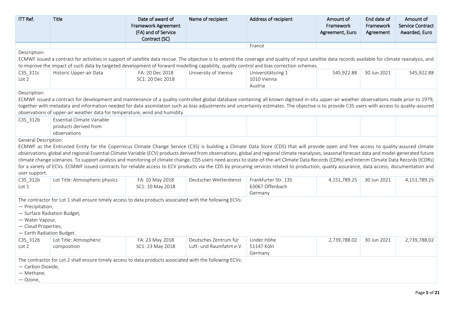| ITT Ref.                                                                                                               | <b>Title</b>                                                                                                                                                                                                                                                                                                                                                                                                                                                                                                                                                                                                                                                                                                                                                                                 | Date of award of<br><b>Framework Agreement</b><br>(FA) and of Service<br>Contract (SC) | Name of recipient                                 | Address of recipient                               | Amount of<br>Framework<br>Agreement, Euro | End date of<br>Framework<br>Agreement | Amount of<br><b>Service Contract</b><br>Awarded, Euro |
|------------------------------------------------------------------------------------------------------------------------|----------------------------------------------------------------------------------------------------------------------------------------------------------------------------------------------------------------------------------------------------------------------------------------------------------------------------------------------------------------------------------------------------------------------------------------------------------------------------------------------------------------------------------------------------------------------------------------------------------------------------------------------------------------------------------------------------------------------------------------------------------------------------------------------|----------------------------------------------------------------------------------------|---------------------------------------------------|----------------------------------------------------|-------------------------------------------|---------------------------------------|-------------------------------------------------------|
|                                                                                                                        |                                                                                                                                                                                                                                                                                                                                                                                                                                                                                                                                                                                                                                                                                                                                                                                              |                                                                                        |                                                   | France                                             |                                           |                                       |                                                       |
| Description:                                                                                                           | ECMWF issued a contract for activities in support of satellite data rescue. The objective is to extend the coverage and quality of input satellite data records available for climate reanalysis, and<br>to improve the impact of such data by targeted development of forward modelling capability, quality control and bias correction schemes.                                                                                                                                                                                                                                                                                                                                                                                                                                            |                                                                                        |                                                   |                                                    |                                           |                                       |                                                       |
| C3S_311c<br>Lot <sub>2</sub>                                                                                           | Historic Upper-air Data                                                                                                                                                                                                                                                                                                                                                                                                                                                                                                                                                                                                                                                                                                                                                                      | FA: 20 Dec 2018<br>SC1: 20 Dec 2018                                                    | University of Vienna                              | Universitätsring 1<br>1010 Vienna<br>Austria       | 545,922.88                                | 30 Jun 2021                           | 545,922.88                                            |
| Description:                                                                                                           |                                                                                                                                                                                                                                                                                                                                                                                                                                                                                                                                                                                                                                                                                                                                                                                              |                                                                                        |                                                   |                                                    |                                           |                                       |                                                       |
|                                                                                                                        | ECMWF issued a contract for development and maintenance of a quality-controlled global database containing all known digitised in-situ upper-air weather observations made prior to 1979,<br>together with metadata and information needed for data assimilation such as bias adjustments and uncertainty estimates. The objective is to provide C3S users with access to quality-assured<br>observations of upper-air weather data for temperature, wind and humidity.                                                                                                                                                                                                                                                                                                                      |                                                                                        |                                                   |                                                    |                                           |                                       |                                                       |
| C3S_312b                                                                                                               | Essential Climate Variable<br>products derived from<br>observations                                                                                                                                                                                                                                                                                                                                                                                                                                                                                                                                                                                                                                                                                                                          |                                                                                        |                                                   |                                                    |                                           |                                       |                                                       |
| user support.                                                                                                          | ECMWF as the Entrusted Entity for the Copernicus Climate Change Service (C3S) is building a Climate Data Store (CDS) that will provide open and free access to quality-assured climate<br>observations, global and regional Essential Climate Variable (ECV) products derived from observations, global and regional climate reanalyses, seasonal forecast data and model-generated future<br>climate change scenarios. To support analysis and monitoring of climate change, CDS users need access to state-of-the-art Climate Data Records (CDRs) and Interim Climate Data Records (ICDRs)<br>for a variety of ECVs. ECMWF issued contracts for reliable access to ECV products via the CDS by procuring services related to production, quality assurance, data access, documentation and |                                                                                        |                                                   |                                                    |                                           |                                       |                                                       |
| C3S 312b<br>Lot 1                                                                                                      | Lot Title: Atmospheric physics                                                                                                                                                                                                                                                                                                                                                                                                                                                                                                                                                                                                                                                                                                                                                               | FA: 10 May 2018<br>SC1: 10 May 2018                                                    | Deutscher Wetterdienst                            | Frankfurter Str. 135<br>63067 Offenbach<br>Germany | 4,151,789.25                              | 30 Jun 2021                           | 4,151,789.25                                          |
| - Precipitation,<br>- Surface Radiation Budget,<br>- Water Vapour,<br>- Cloud Properties,<br>- Earth Radiation Budget. | The contractor for Lot 1 shall ensure timely access to data products associated with the following ECVs:                                                                                                                                                                                                                                                                                                                                                                                                                                                                                                                                                                                                                                                                                     |                                                                                        |                                                   |                                                    |                                           |                                       |                                                       |
| C3S_312b<br>Lot <sub>2</sub>                                                                                           | Lot Title: Atmospheric<br>composition                                                                                                                                                                                                                                                                                                                                                                                                                                                                                                                                                                                                                                                                                                                                                        | FA: 23 May 2018<br>SC1: 23 May 2018                                                    | Deutsches Zentrum für<br>Luft- und Raumfahrt e.V. | Linder Höhe<br>51147 Köln<br>Germany               | 2,739,788.02                              | 30 Jun 2021                           | 2,739,788.02                                          |
| - Carbon Dioxide,<br>- Methane,<br>$-$ Ozone,                                                                          | The contractor for Lot 2 shall ensure timely access to data products associated with the following ECVs:                                                                                                                                                                                                                                                                                                                                                                                                                                                                                                                                                                                                                                                                                     |                                                                                        |                                                   |                                                    |                                           |                                       |                                                       |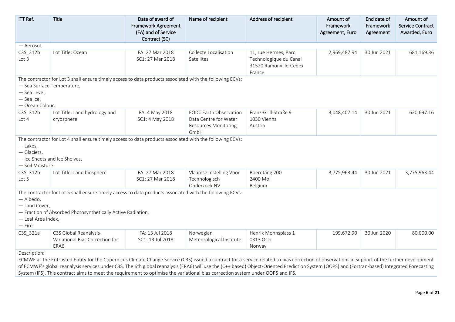| ITT Ref.                                                                    | <b>Title</b>                                                                                                                                                                                                                                                                                                                                                                                     | Date of award of<br><b>Framework Agreement</b><br>(FA) and of Service<br>Contract (SC) | Name of recipient                                                                             | Address of recipient                                                               | Amount of<br>Framework<br>Agreement, Euro | End date of<br>Framework<br>Agreement | Amount of<br><b>Service Contract</b><br>Awarded, Euro |
|-----------------------------------------------------------------------------|--------------------------------------------------------------------------------------------------------------------------------------------------------------------------------------------------------------------------------------------------------------------------------------------------------------------------------------------------------------------------------------------------|----------------------------------------------------------------------------------------|-----------------------------------------------------------------------------------------------|------------------------------------------------------------------------------------|-------------------------------------------|---------------------------------------|-------------------------------------------------------|
| — Aerosol.                                                                  |                                                                                                                                                                                                                                                                                                                                                                                                  |                                                                                        |                                                                                               |                                                                                    |                                           |                                       |                                                       |
| C3S_312b<br>Lot 3                                                           | Lot Title: Ocean                                                                                                                                                                                                                                                                                                                                                                                 | FA: 27 Mar 2018<br>SC1: 27 Mar 2018                                                    | Collecte Localisation<br>Satellites                                                           | 11, rue Hermes, Parc<br>Technologique du Canal<br>31520 Ramonville-Cedex<br>France | 2,969,487.94                              | 30 Jun 2021                           | 681,169.36                                            |
| - Sea Surface Temperature,<br>- Sea Level,<br>- Sea Ice,<br>- Ocean Colour. | The contractor for Lot 3 shall ensure timely access to data products associated with the following ECVs:                                                                                                                                                                                                                                                                                         |                                                                                        |                                                                                               |                                                                                    |                                           |                                       |                                                       |
| C3S_312b<br>Lot 4                                                           | Lot Title: Land hydrology and<br>cryosphere                                                                                                                                                                                                                                                                                                                                                      | FA: 4 May 2018<br>SC1: 4 May 2018                                                      | <b>EODC Earth Observation</b><br>Data Centre for Water<br><b>Resources Monitoring</b><br>GmbH | Franz-Grill-Straße 9<br>1030 Vienna<br>Austria                                     | 3,048,407.14                              | 30 Jun 2021                           | 620,697.16                                            |
| $-$ Lakes,<br>- Glaciers,<br>- Soil Moisture.                               | The contractor for Lot 4 shall ensure timely access to data products associated with the following ECVs:<br>- Ice Sheets and Ice Shelves,                                                                                                                                                                                                                                                        |                                                                                        |                                                                                               |                                                                                    |                                           |                                       |                                                       |
| C3S_312b<br>Lot 5                                                           | Lot Title: Land biosphere                                                                                                                                                                                                                                                                                                                                                                        | FA: 27 Mar 2018<br>SC1: 27 Mar 2018                                                    | Vlaamse Instelling Voor<br>Technologisch<br>Onderzoek NV                                      | Boeretang 200<br>2400 Mol<br>Belgium                                               | 3,775,963.44                              | 30 Jun 2021                           | 3,775,963.44                                          |
| - Albedo,<br>- Land Cover,<br>- Leaf Area Index,<br>$-$ Fire.               | The contractor for Lot 5 shall ensure timely access to data products associated with the following ECVs:<br>- Fraction of Absorbed Photosynthetically Active Radiation,                                                                                                                                                                                                                          |                                                                                        |                                                                                               |                                                                                    |                                           |                                       |                                                       |
| C3S_321a                                                                    | C3S Global Reanalysis-<br>Variational Bias Correction for<br>ERA6                                                                                                                                                                                                                                                                                                                                | FA: 13 Jul 2018<br>SC1: 13 Jul 2018                                                    | Norwegian<br>Meteorological Institute                                                         | Henrik Mohnsplass 1<br>0313 Oslo<br>Norway                                         | 199,672.90                                | 30 Jun 2020                           | 80,000.00                                             |
| Description:                                                                | ECMWF as the Entrusted Entity for the Copernicus Climate Change Service (C3S) issued a contract for a service related to bias correction of observations in support of the further development<br>of ECMWE's global reapplycic services under C3S. The 6th global reapplycis (ERAG) will use the (C++ based) Object Oriented Prediction System (OOPS) and (Eortran based) Integrated Eorecasting |                                                                                        |                                                                                               |                                                                                    |                                           |                                       |                                                       |

of ECMWF's global reanalysis services under C3S. The 6th global reanalysis (ERA6) will use the (C++ based) Object-Oriented Prediction System (OOPS) and (Fortran-based) Integrated Forecasting System (IFS). This contract aims to meet the requirement to optimise the variational bias correction system under OOPS and IFS.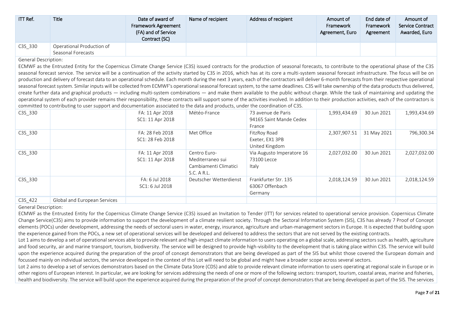| ITT Ref.             | <b>Title</b>                                    | Date of award of<br>Framework Agreement<br>(FA) and of Service<br>Contract (SC) | Name of recipient | Address of recipient | Amount of<br>Framework<br>Agreement, Euro | End date of<br>Framework<br>Agreement | Amount of<br><b>Service Contract</b><br>Awarded, Euro |
|----------------------|-------------------------------------------------|---------------------------------------------------------------------------------|-------------------|----------------------|-------------------------------------------|---------------------------------------|-------------------------------------------------------|
| C3S 330              | Operational Production of<br>Seasonal Forecasts |                                                                                 |                   |                      |                                           |                                       |                                                       |
| General Description: |                                                 |                                                                                 |                   |                      |                                           |                                       |                                                       |

ECMWF as the Entrusted Entity for the Copernicus Climate Change Service (C3S) issued contracts for the production of seasonal forecasts, to contribute to the operational phase of the C3S seasonal forecast service. The service will be a continuation of the activity started by C3S in 2016, which has at its core a multi-system seasonal forecast infrastructure. The focus will be on production and delivery of forecast data to an operational schedule. Each month during the next 3 years, each of the contractors will deliver 6-month forecasts from their respective operational seasonal forecast system. Similar inputs will be collected from ECMWF's operational seasonal forecast system, to the same deadlines. C3S will take ownership of the data products thus delivered, create further data and graphical products — including multi-system combinations — and make them available to the public without charge. While the task of maintaining and updating the operational system of each provider remains their responsibility, these contracts will support some of the activities involved. In addition to their production activities, each of the contractors is committed to contributing to user support and documentation associated to the data and products, under the coordination of C3S.

| C3S 330 |                              | FA: 11 Apr 2018<br>SC1: 11 Apr 2018 | Météo-France                                                             | 73 avenue de Paris<br>94165 Saint Mande Cedex<br>France | 1,993,434.69 | 30 Jun 2021 | 1,993,434.69 |
|---------|------------------------------|-------------------------------------|--------------------------------------------------------------------------|---------------------------------------------------------|--------------|-------------|--------------|
| C3S_330 |                              | FA: 28 Feb 2018<br>SC1: 28 Feb 2018 | Met Office                                                               | FitzRoy Road<br>Exeter, EX1 3PB<br>United Kingdom       | 2,307,907.51 | 31 May 2021 | 796,300.34   |
| C3S 330 |                              | FA: 11 Apr 2018<br>SC1: 11 Apr 2018 | Centro Euro-<br>Mediterraneo sui<br>Cambiamenti Climatici<br>S.C. A R.L. | Via Augusto Imperatore 16<br>73100 Lecce<br>Italy       | 2,027,032.00 | 30 Jun 2021 | 2,027,032.00 |
| C3S 330 |                              | FA: 6 Jul 2018<br>SC1: 6 Jul 2018   | Deutscher Wetterdienst                                                   | Frankfurter Str. 135<br>63067 Offenbach<br>Germany      | 2,018,124.59 | 30 Jun 2021 | 2,018,124.59 |
| C3S 422 | Global and European Services |                                     |                                                                          |                                                         |              |             |              |

# General Description:

ECMWF as the Entrusted Entity for the Copernicus Climate Change Service (C3S) issued an Invitation to Tender (ITT) for services related to operational service provision. Copernicus Climate Change Service(C3S) aims to provide information to support the development of a climate resilient society. Through the Sectoral Information System (SIS), C3S has already 7 Proof of Concept elements (POCs) under development, addressing the needs of sectoral users in water, energy, insurance, agriculture and urban-management sectors in Europe. It is expected that building upon the experience gained from the POCs, a new set of operational services will be developed and delivered to address the sectors that are not served by the existing contracts.

Lot 1 aims to develop a set of operational services able to provide relevant and high-impact climate information to users operating on a global scale, addressing sectors such as health, agriculture and food security, air and marine transport, tourism, biodiversity. The service will be designed to provide high-visibility to the development that is taking place within C3S. The service will build upon the experience acquired during the preparation of the proof of concept demonstrators that are being developed as part of the SIS but whilst those covered the European domain and focussed mainly on individual sectors, the service developed in the context of this Lot will need to be global and might have a broader scope across several sectors.

Lot 2 aims to develop a set of services demonstrators based on the Climate Data Store (CDS) and able to provide relevant climate information to users operating at regional scale in Europe or in other regions of European interest. In particular, we are looking for services addressing the needs of one or more of the following sectors: transport, tourism, coastal areas, marine and fisheries, health and biodiversity. The service will build upon the experience acquired during the preparation of the proof of concept demonstrators that are being developed as part of the SIS. The services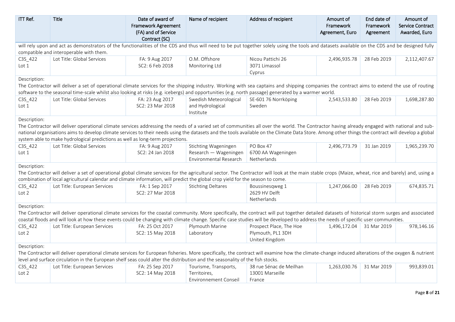| ITT Ref.                    | Title                                                                                                                                                                                                                                                                                                                                                                                   | Date of award of<br><b>Framework Agreement</b><br>(FA) and of Service<br>Contract (SC) | Name of recipient                                                       | Address of recipient                            | Amount of<br>Framework<br>Agreement, Euro | End date of<br>Framework<br>Agreement | Amount of<br><b>Service Contract</b><br>Awarded, Euro |
|-----------------------------|-----------------------------------------------------------------------------------------------------------------------------------------------------------------------------------------------------------------------------------------------------------------------------------------------------------------------------------------------------------------------------------------|----------------------------------------------------------------------------------------|-------------------------------------------------------------------------|-------------------------------------------------|-------------------------------------------|---------------------------------------|-------------------------------------------------------|
|                             | will rely upon and act as demonstrators of the functionalities of the CDS and thus will need to be put together solely using the tools and datasets available on the CDS and be designed fully                                                                                                                                                                                          |                                                                                        |                                                                         |                                                 |                                           |                                       |                                                       |
|                             | compatible and interoperable with them.                                                                                                                                                                                                                                                                                                                                                 |                                                                                        |                                                                         |                                                 |                                           |                                       |                                                       |
| C3S_422<br>Lot 1            | Lot Title: Global Services                                                                                                                                                                                                                                                                                                                                                              | FA: 9 Aug 2017<br>SC2: 6 Feb 2018                                                      | O.M. Offshore<br>Monitoring Ltd                                         | Nicou Pattichi 26<br>3071 Limassol<br>Cyprus    | 2,496,935.78                              | 28 Feb 2019                           | 2,112,407.67                                          |
| Description:                |                                                                                                                                                                                                                                                                                                                                                                                         |                                                                                        |                                                                         |                                                 |                                           |                                       |                                                       |
|                             | The Contractor will deliver a set of operational climate services for the shipping industry. Working with sea captains and shipping companies the contract aims to extend the use of routing                                                                                                                                                                                            |                                                                                        |                                                                         |                                                 |                                           |                                       |                                                       |
|                             | software to the seasonal time-scale whilst also looking at risks (e.g. icebergs) and opportunities (e.g. north passage) generated by a warmer world.                                                                                                                                                                                                                                    |                                                                                        |                                                                         |                                                 |                                           |                                       |                                                       |
| C3S_422<br>Lot $1$          | Lot Title: Global Services                                                                                                                                                                                                                                                                                                                                                              | FA: 23 Aug 2017<br>SC2: 23 Mar 2018                                                    | Swedish Meteorological<br>and Hydrological<br>Institute                 | SE-601 76 Norrköping<br>Sweden                  | 2,543,533.80                              | 28 Feb 2019                           | 1,698,287.80                                          |
| Description:                |                                                                                                                                                                                                                                                                                                                                                                                         |                                                                                        |                                                                         |                                                 |                                           |                                       |                                                       |
|                             | The Contractor will deliver operational climate services addressing the needs of a varied set of communities all over the world. The Contractor having already engaged with national and sub-                                                                                                                                                                                           |                                                                                        |                                                                         |                                                 |                                           |                                       |                                                       |
|                             | national organisations aims to develop climate services to their needs using the datasets and the tools available on the Climate Data Store. Among other things the contract will develop a global                                                                                                                                                                                      |                                                                                        |                                                                         |                                                 |                                           |                                       |                                                       |
|                             | system able to make hydrological predictions as well as long-term projections.                                                                                                                                                                                                                                                                                                          |                                                                                        |                                                                         |                                                 |                                           |                                       |                                                       |
| C3S_422<br>Lot 1            | Lot Title: Global Services                                                                                                                                                                                                                                                                                                                                                              | FA: 9 Aug 2017<br>SC2: 24 Jan 2018                                                     | Stichting Wageningen<br>Research — Wageningen<br>Environmental Research | PO Box 47<br>6700 AA Wageningen<br>Netherlands  | 2,496,773.79                              | 31 Jan 2019                           | 1,965,239.70                                          |
| Description:                |                                                                                                                                                                                                                                                                                                                                                                                         |                                                                                        |                                                                         |                                                 |                                           |                                       |                                                       |
|                             | The Contractor will deliver a set of operational global climate services for the agricultural sector. The Contractor will look at the main stable crops (Maize, wheat, rice and barely) and, using a<br>combination of local agricultural calendar and climate information, will predict the global crop yield for the season to come.                                                  |                                                                                        |                                                                         |                                                 |                                           |                                       |                                                       |
| C3S_422<br>Lot 2            | Lot Title: European Services                                                                                                                                                                                                                                                                                                                                                            | FA: 1 Sep 2017<br>SC2: 27 Mar 2018                                                     | <b>Stichting Deltares</b>                                               | Boussinesqweg 1<br>2629 HV Delft<br>Netherlands | 1,247,066.00                              | 28 Feb 2019                           | 674,835.71                                            |
| Description:                |                                                                                                                                                                                                                                                                                                                                                                                         |                                                                                        |                                                                         |                                                 |                                           |                                       |                                                       |
|                             | The Contractor will deliver operational climate services for the coastal community. More specifically, the contract will put together detailed datasets of historical storm surges and associated<br>coastal floods and will look at how these events could be changing with climate change. Specific case studies will be developed to address the needs of specific user communities. |                                                                                        |                                                                         |                                                 |                                           |                                       |                                                       |
| C3S_422                     | Lot Title: European Services                                                                                                                                                                                                                                                                                                                                                            | FA: 25 Oct 2017                                                                        | Plymouth Marine                                                         | Prospect Place, The Hoe                         | 1,496,172.04                              | 31 Mar 2019                           | 978,146.16                                            |
| Lot 2                       |                                                                                                                                                                                                                                                                                                                                                                                         | SC2: 15 May 2018                                                                       | Laboratory                                                              | Plymouth, PL1 3DH<br>United Kingdom             |                                           |                                       |                                                       |
| Description:                |                                                                                                                                                                                                                                                                                                                                                                                         |                                                                                        |                                                                         |                                                 |                                           |                                       |                                                       |
|                             | The Contractor will deliver operational climate services for European fisheries. More specifically, the contract will examine how the climate-change induced alterations of the oxygen & nutrient<br>level and surface circulation in the European shelf seas could alter the distribution and the seasonality of the fish stocks.                                                      |                                                                                        |                                                                         |                                                 |                                           |                                       |                                                       |
| C3S_422<br>Lot <sub>2</sub> | Lot Title: European Services                                                                                                                                                                                                                                                                                                                                                            | FA: 25 Sep 2017<br>SC2: 14 May 2018                                                    | Tourisme, Transports,<br>Territoires,                                   | 38 rue Sénac de Meilhan<br>13001 Marseille      | 1,263,030.76                              | 31 Mar 2019                           | 993,839.01                                            |
|                             |                                                                                                                                                                                                                                                                                                                                                                                         |                                                                                        | <b>Environnement Conseil</b>                                            | France                                          |                                           |                                       |                                                       |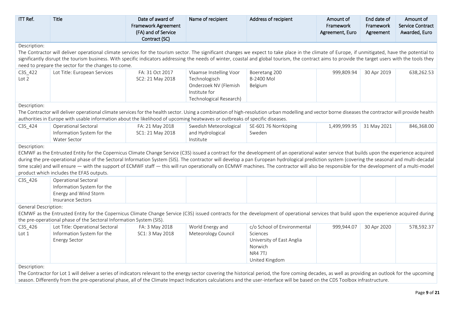| ITT Ref.                    | Title                                                                                                                                                                                                | Date of award of<br><b>Framework Agreement</b><br>(FA) and of Service<br>Contract (SC) | Name of recipient                        | Address of recipient               | Amount of<br>Framework<br>Agreement, Euro | End date of<br>Framework<br>Agreement | Amount of<br><b>Service Contract</b><br>Awarded, Euro |
|-----------------------------|------------------------------------------------------------------------------------------------------------------------------------------------------------------------------------------------------|----------------------------------------------------------------------------------------|------------------------------------------|------------------------------------|-------------------------------------------|---------------------------------------|-------------------------------------------------------|
| Description:                |                                                                                                                                                                                                      |                                                                                        |                                          |                                    |                                           |                                       |                                                       |
|                             | The Contractor will deliver operational climate services for the tourism sector. The significant changes we expect to take place in the climate of Europe, if unmitigated, have the potential to     |                                                                                        |                                          |                                    |                                           |                                       |                                                       |
|                             | significantly disrupt the tourism business. With specific indicators addressing the needs of winter, coastal and global tourism, the contract aims to provide the target users with the tools they   |                                                                                        |                                          |                                    |                                           |                                       |                                                       |
|                             | need to prepare the sector for the changes to come.                                                                                                                                                  |                                                                                        |                                          |                                    |                                           |                                       |                                                       |
| C3S_422<br>Lot 2            | Lot Title: European Services                                                                                                                                                                         | FA: 31 Oct 2017<br>SC2: 21 May 2018                                                    | Vlaamse Instelling Voor<br>Technologisch | Boeretang 200<br><b>B-2400 Mol</b> | 999,809.94                                | 30 Apr 2019                           | 638,262.53                                            |
|                             |                                                                                                                                                                                                      |                                                                                        | Onderzoek NV (Flemish<br>Institute for   | Belgium                            |                                           |                                       |                                                       |
|                             |                                                                                                                                                                                                      |                                                                                        | Technological Research)                  |                                    |                                           |                                       |                                                       |
| Description:                |                                                                                                                                                                                                      |                                                                                        |                                          |                                    |                                           |                                       |                                                       |
|                             | The Contractor will deliver operational climate services for the health sector. Using a combination of high-resolution urban modelling and vector borne diseases the contractor will provide health  |                                                                                        |                                          |                                    |                                           |                                       |                                                       |
|                             | authorities in Europe with usable information about the likelihood of upcoming heatwaves or outbreaks of specific diseases.                                                                          |                                                                                        |                                          |                                    |                                           |                                       |                                                       |
| C3S_424                     | Operational Sectoral                                                                                                                                                                                 | FA: 21 May 2018                                                                        | Swedish Meteorological                   | SE-601 76 Norrköping               | 1,499,999.95                              | 31 May 2021                           | 846,368.00                                            |
|                             | Information System for the                                                                                                                                                                           | SC1: 21 May 2018                                                                       | and Hydrological                         | Sweden                             |                                           |                                       |                                                       |
|                             | Water Sector                                                                                                                                                                                         |                                                                                        | Institute                                |                                    |                                           |                                       |                                                       |
| Description:                |                                                                                                                                                                                                      |                                                                                        |                                          |                                    |                                           |                                       |                                                       |
|                             | ECMWF as the Entrusted Entity for the Copernicus Climate Change Service (C3S) issued a contract for the development of an operational water service that builds upon the experience acquired         |                                                                                        |                                          |                                    |                                           |                                       |                                                       |
|                             | during the pre-operational phase of the Sectoral Information System (SIS). The contractor will develop a pan European hydrological prediction system (covering the seasonal and multi-decadal        |                                                                                        |                                          |                                    |                                           |                                       |                                                       |
|                             | time scale) and will ensure — with the support of ECMWF staff — this will run operationally on ECMWF machines. The contractor will also be responsible for the development of a multi-model          |                                                                                        |                                          |                                    |                                           |                                       |                                                       |
|                             | product which includes the EFAS outputs.                                                                                                                                                             |                                                                                        |                                          |                                    |                                           |                                       |                                                       |
| C3S_426                     | Operational Sectoral                                                                                                                                                                                 |                                                                                        |                                          |                                    |                                           |                                       |                                                       |
|                             | Information System for the                                                                                                                                                                           |                                                                                        |                                          |                                    |                                           |                                       |                                                       |
|                             | Energy and Wind Storm<br>Insurance Sectors                                                                                                                                                           |                                                                                        |                                          |                                    |                                           |                                       |                                                       |
| <b>General Description:</b> |                                                                                                                                                                                                      |                                                                                        |                                          |                                    |                                           |                                       |                                                       |
|                             | ECMWF as the Entrusted Entity for the Copernicus Climate Change Service (C3S) issued contracts for the development of operational services that build upon the experience acquired during            |                                                                                        |                                          |                                    |                                           |                                       |                                                       |
|                             | the pre-operational phase of the Sectoral Information System (SIS).                                                                                                                                  |                                                                                        |                                          |                                    |                                           |                                       |                                                       |
| C3S_426                     | Lot Title: Operational Sectoral                                                                                                                                                                      | FA: 3 May 2018                                                                         | World Energy and                         | c/o School of Environmental        | 999,944.07                                | 30 Apr 2020                           | 578,592.37                                            |
| Lot $1$                     | Information System for the                                                                                                                                                                           | SC1: 3 May 2018                                                                        | Meteorology Council                      | Sciences                           |                                           |                                       |                                                       |
|                             | <b>Energy Sector</b>                                                                                                                                                                                 |                                                                                        |                                          | University of East Anglia          |                                           |                                       |                                                       |
|                             |                                                                                                                                                                                                      |                                                                                        |                                          | Norwich                            |                                           |                                       |                                                       |
|                             |                                                                                                                                                                                                      |                                                                                        |                                          | NR4 7TJ                            |                                           |                                       |                                                       |
|                             |                                                                                                                                                                                                      |                                                                                        |                                          | United Kingdom                     |                                           |                                       |                                                       |
| Description:                |                                                                                                                                                                                                      |                                                                                        |                                          |                                    |                                           |                                       |                                                       |
|                             | The Contractor for Let 1 will deliver a cerico of indicators relevant to the energy sector covering the bistorical period, the fere coming decades, as well as providing an outleak for the uncoming |                                                                                        |                                          |                                    |                                           |                                       |                                                       |

The Contractor for Lot 1 will deliver a series of indicators relevant to the energy sector covering the historical period, the fore coming decades, as well as providing an outlook for the upcoming season. Differently from the pre-operational phase, all of the Climate Impact Indicators calculations and the user-interface will be based on the CDS Toolbox infrastructure.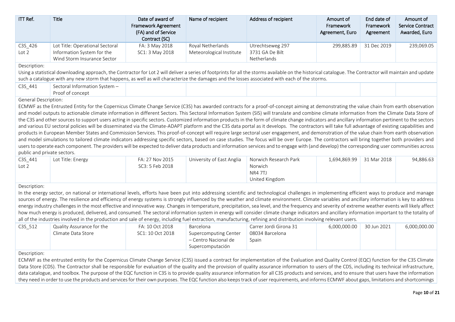| ITT Ref.         | Title                                                                                        | Date of award of<br><b>Framework Agreement</b><br>(FA) and of Service<br>Contract (SC) | Name of recipient                             | Address of recipient                               | Amount of<br>Framework<br>Agreement, Euro | End date of<br>Framework<br>Agreement | Amount of<br><b>Service Contract</b><br>Awarded, Euro |
|------------------|----------------------------------------------------------------------------------------------|----------------------------------------------------------------------------------------|-----------------------------------------------|----------------------------------------------------|-------------------------------------------|---------------------------------------|-------------------------------------------------------|
| C3S_426<br>Lot 2 | Lot Title: Operational Sectoral<br>Information System for the<br>Wind Storm Insurance Sector | FA: 3 May 2018<br>SC1: 3 May 2018                                                      | Royal Netherlands<br>Meteorological Institute | Utrechtseweg 297<br>3731 GA De Bilt<br>Netherlands | 299.885.89                                | 31 Dec 2019                           | 239,069.05                                            |

## Description:

Using a statistical downloading approach, the Contractor for Lot 2 will deliver a series of footprints for all the storms available on the historical catalogue. The Contractor will maintain and update such a catalogue with any new storm that happens, as well as will characterize the damages and the losses associated with each of the storms.

| C3S 441<br>$\overline{\phantom{0}}$ | sectoral Information S<br>⊢System – |  |  |  |
|-------------------------------------|-------------------------------------|--|--|--|
|                                     | concept <sup>.</sup><br>Proot ot:   |  |  |  |
| $\cdot$ $-$                         |                                     |  |  |  |

### General Description:

ECMWF as the Entrusted Entity for the Copernicus Climate Change Service (C3S) has awarded contracts for a proof-of-concept aiming at demonstrating the value chain from earth observation and model outputs to actionable climate information in different Sectors. This Sectoral Information System (SIS) will translate and combine climate information from the Climate Data Store of the C3S and other sources to support users acting in specific sectors. Customized information products in the form of climate change indicators and ancillary information pertinent to the sectors and various EU sectoral policies will be disseminated via the Climate-ADAPT platform and the C3S data portal as it develops. The contractors will take full advantage of existing capabilities and products in European Member States and Commission Services. This proof-of-concept will require large sectoral user engagement, and demonstration of the value chain from earth observation and model simulations to tailored climate indicators addressing specific sectors, based on case studies. The focus will be over Europe. The contractors will bring together both providers and users to operate each component. The providers will be expected to deliver data products and information services and to engage with (and develop) the corresponding user communities across public and private sectors.

| C3S 441 | Lot Title: Energy | FA: 27 Nov 2015 | University of East Anglia | Norwich Research Park | 1.694.869.99 | 31 Mar 2018 | 94,886.63 |
|---------|-------------------|-----------------|---------------------------|-----------------------|--------------|-------------|-----------|
| Lot 2   |                   | SC3: 5 Feb 2018 |                           | Norwich               |              |             |           |
|         |                   |                 |                           | NR4 7TJ               |              |             |           |
|         |                   |                 |                           | United Kingdom        |              |             |           |

### Description:

In the energy sector, on national or international levels, efforts have been put into addressing scientific and technological challenges in implementing efficient ways to produce and manage sources of energy. The resilience and efficiency of energy systems is strongly influenced by the weather and climate environment. Climate variables and ancillary information is key to address energy industry challenges in the most effective and innovative way. Changes in temperature, precipitation, sea level, and the frequency and severity of extreme weather events will likely affect how much energy is produced, delivered, and consumed. The sectoral information system in energy will consider climate change indicators and ancillary information important to the totality of all of the industries involved in the production and sale of energy, including fuel extraction, manufacturing, refining and distribution involving relevant users.

| C3S 512 | Quality Assurance for the<br>Climate Data Store | FA: 10 Oct 2018<br>SC1: 10 Oct 2018 | Barcelona<br>Supercomputing Center<br>– Centro Nacional de<br>Supercomputación | Carrer Jordi Girona 31<br>08034 Barcelona<br>Spain | 6.000.000.00 | 30 Jun 2021 | 6,000,000.00 |
|---------|-------------------------------------------------|-------------------------------------|--------------------------------------------------------------------------------|----------------------------------------------------|--------------|-------------|--------------|
|---------|-------------------------------------------------|-------------------------------------|--------------------------------------------------------------------------------|----------------------------------------------------|--------------|-------------|--------------|

#### Description:

ECMWF as the entrusted entity for the Copernicus Climate Change Service (C3S) issued a contract for implementation of the Evaluation and Quality Control (EQC) function for the C3S Climate Data Store (CDS). The Contractor shall be responsible for evaluation of the quality and the provision of quality assurance information to users of the CDS, including its technical infrastructure. data catalogue, and toolbox. The purpose of the EQC function in C3S is to provide quality assurance information for all C3S products and services, and to ensure that users have the information they need in order to use the products and services for their own purposes. The EQC function also keeps track of user requirements, and informs ECMWF about gaps, limitations and shortcomings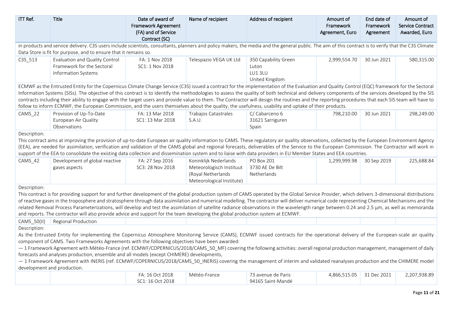| ITT Ref.                                                                                                                                                                                                                                                                                                                                                                                                                                                                                                                                                                                                                                                                                                                                                       | Title                                                                                                                                                                                                                                                                                                                                                                                                                                                                                                                                                                                                                                                                                                                                                                                | Date of award of<br>Framework Agreement<br>(FA) and of Service<br>Contract (SC) | Name of recipient                                                                                    | Address of recipient                                      | Amount of<br>Framework<br>Agreement, Euro | End date of<br>Framework<br>Agreement | Amount of<br><b>Service Contract</b><br>Awarded, Euro |  |  |  |
|----------------------------------------------------------------------------------------------------------------------------------------------------------------------------------------------------------------------------------------------------------------------------------------------------------------------------------------------------------------------------------------------------------------------------------------------------------------------------------------------------------------------------------------------------------------------------------------------------------------------------------------------------------------------------------------------------------------------------------------------------------------|--------------------------------------------------------------------------------------------------------------------------------------------------------------------------------------------------------------------------------------------------------------------------------------------------------------------------------------------------------------------------------------------------------------------------------------------------------------------------------------------------------------------------------------------------------------------------------------------------------------------------------------------------------------------------------------------------------------------------------------------------------------------------------------|---------------------------------------------------------------------------------|------------------------------------------------------------------------------------------------------|-----------------------------------------------------------|-------------------------------------------|---------------------------------------|-------------------------------------------------------|--|--|--|
|                                                                                                                                                                                                                                                                                                                                                                                                                                                                                                                                                                                                                                                                                                                                                                | in products and service delivery. C3S users include scientists, consultants, planners and policy makers, the media and the general public. The aim of this contract is to verify that the C3S Climate                                                                                                                                                                                                                                                                                                                                                                                                                                                                                                                                                                                |                                                                                 |                                                                                                      |                                                           |                                           |                                       |                                                       |  |  |  |
|                                                                                                                                                                                                                                                                                                                                                                                                                                                                                                                                                                                                                                                                                                                                                                | Data Store is fit for purpose, and to ensure that it remains so.                                                                                                                                                                                                                                                                                                                                                                                                                                                                                                                                                                                                                                                                                                                     |                                                                                 |                                                                                                      |                                                           |                                           |                                       |                                                       |  |  |  |
| C3S_513                                                                                                                                                                                                                                                                                                                                                                                                                                                                                                                                                                                                                                                                                                                                                        | Evaluation and Quality Control<br>Framework for the Sectoral<br><b>Information Systems</b>                                                                                                                                                                                                                                                                                                                                                                                                                                                                                                                                                                                                                                                                                           | FA: 1 Nov 2018<br>SC1: 1 Nov 2018                                               | Telespazio VEGA UK Ltd                                                                               | 350 Capability Green<br>Luton<br>LU13LU<br>United Kingdom | 2,999,554.70                              | 30 Jun 2021                           | 580,315.00                                            |  |  |  |
| ECMWF as the Entrusted Entity for the Copernicus Climate Change Service (C3S) issued a contract for the implementation of the Evaluation and Quality Control (EQC) framework for the Sectoral<br>Information Systems (SISs). The objective of this contract is to identify the methodologies to assess the quality of both technical and delivery components of the services developed by the SIS<br>contracts including their ability to engage with the target users and provide value to them. The Contractor will design the routines and the reporting procedures that each SIS team will have to<br>follow to inform ECMWF, the European Commission, and the users themselves about the quality, the usefulness, usability and uptake of their products. |                                                                                                                                                                                                                                                                                                                                                                                                                                                                                                                                                                                                                                                                                                                                                                                      |                                                                                 |                                                                                                      |                                                           |                                           |                                       |                                                       |  |  |  |
| CAMS 22                                                                                                                                                                                                                                                                                                                                                                                                                                                                                                                                                                                                                                                                                                                                                        | Provision of Up-To-Date<br>European Air Quality<br>Observations                                                                                                                                                                                                                                                                                                                                                                                                                                                                                                                                                                                                                                                                                                                      | FA: 13 Mar 2018<br>SC1: 13 Mar 2018                                             | Trabajos Catastrales<br>S.A.U.                                                                       | C/Cabarceno 6<br>31621 Sarriguren<br>Spain                | 798,210.00                                | 30 Jun 2021                           | 298,249.00                                            |  |  |  |
|                                                                                                                                                                                                                                                                                                                                                                                                                                                                                                                                                                                                                                                                                                                                                                | Description:<br>This contract aims at improving the provision of up-to-date European air quality information to CAMS. These regulatory air quality observations, collected by the European Environment Agency<br>(EEA), are needed for assimilation, verification and validation of the CAMS global and regional forecasts, deliverables of the Service to the European Commission. The Contractor will work in<br>support of the EEA to consolidate the existing data collection and dissemination system and to liaise with data providers in EU Member States and EEA countries.                                                                                                                                                                                                  |                                                                                 |                                                                                                      |                                                           |                                           |                                       |                                                       |  |  |  |
| CAMS_42                                                                                                                                                                                                                                                                                                                                                                                                                                                                                                                                                                                                                                                                                                                                                        | Development of global reactive<br>gases aspects                                                                                                                                                                                                                                                                                                                                                                                                                                                                                                                                                                                                                                                                                                                                      | FA: 27 Sep 2016<br>SC3: 28 Nov 2018                                             | Koninklijk Nederlands<br>Meteorologisch Instituut<br>(Royal Netherlands<br>Meteorological Institute) | <b>PO Box 201</b><br>3730 AE De Bilt<br>Netherlands       | 1,299,999.98                              | 30 Sep 2019                           | 225,688.84                                            |  |  |  |
| Description:                                                                                                                                                                                                                                                                                                                                                                                                                                                                                                                                                                                                                                                                                                                                                   | This contract is for providing support for and further development of the global production system of CAMS operated by the Global Service Provider, which delivers 3-dimensional distributions<br>of reactive gases in the troposphere and stratosphere through data assimilation and numerical modelling. The contractor will deliver numerical code representing Chemical Mechanisms and the<br>related Removal Process Parameterizations, will develop and test the assimilation of satellite radiance observations in the wavelength range between 0.24 and 2.5 µm, as well as memoranda<br>and reports. The contractor will also provide advice and support for the team developing the global production system at ECMWF.                                                      |                                                                                 |                                                                                                      |                                                           |                                           |                                       |                                                       |  |  |  |
| CAMS_50(II)                                                                                                                                                                                                                                                                                                                                                                                                                                                                                                                                                                                                                                                                                                                                                    | Regional Production                                                                                                                                                                                                                                                                                                                                                                                                                                                                                                                                                                                                                                                                                                                                                                  |                                                                                 |                                                                                                      |                                                           |                                           |                                       |                                                       |  |  |  |
| Description:                                                                                                                                                                                                                                                                                                                                                                                                                                                                                                                                                                                                                                                                                                                                                   | As the Entrusted Entity for implementing the Copernicus Atmosphere Monitoring Service (CAMS), ECMWF issued contracts for the operational delivery of the European-scale air quality<br>component of CAMS. Two Frameworks Agreements with the following objectives have been awarded:<br>- 1 Framework Agreement with Météo-France (ref. ECMWF/COPERNICUS/2018/CAMS_50_MF) covering the following activities: overall regional production management, management of daily<br>forecasts and analyses production, ensemble and all models (except CHIMERE) developments,<br>- 1 Framework Agreement with INERIS (ref. ECMWF/COPERNICUS/2018/CAMS 50 INERIS) covering the management of interim and validated reanalyses production and the CHIMERE model<br>development and production. |                                                                                 |                                                                                                      |                                                           |                                           |                                       |                                                       |  |  |  |
|                                                                                                                                                                                                                                                                                                                                                                                                                                                                                                                                                                                                                                                                                                                                                                |                                                                                                                                                                                                                                                                                                                                                                                                                                                                                                                                                                                                                                                                                                                                                                                      | FA: 16 Oct 2018<br>SC1: 16 Oct 2018                                             | Météo-France                                                                                         | 73 avenue de Paris<br>94165 Saint-Mandé                   | 4,866,515.05                              | 31 Dec 2021                           | 2,207,938.89                                          |  |  |  |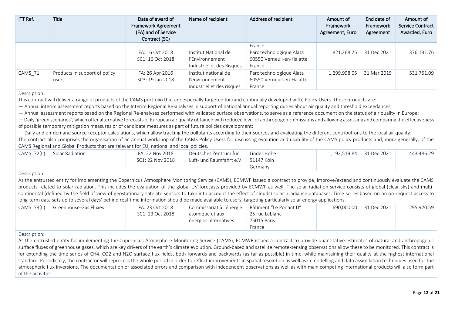| ITT Ref. | <b>Title</b>                           | Date of award of<br><b>Framework Agreement</b><br>(FA) and of Service<br>Contract (SC) | Name of recipient                                                    | Address of recipient                                            | Amount of<br>Framework<br>Agreement, Euro | End date of<br>Framework<br>Agreement | Amount of<br><b>Service Contract</b><br>Awarded, Euro |
|----------|----------------------------------------|----------------------------------------------------------------------------------------|----------------------------------------------------------------------|-----------------------------------------------------------------|-------------------------------------------|---------------------------------------|-------------------------------------------------------|
|          |                                        |                                                                                        |                                                                      | France                                                          |                                           |                                       |                                                       |
|          |                                        | FA: 16 Oct 2018<br>SC1: 16 Oct 2018                                                    | Institut National de<br>l'Environnement<br>Industriel et des Risques | Parc technologique Alata<br>60550 Verneuil-en-Halatte<br>France | 821,268.25                                | 31 Dec 2021                           | 376,131.76                                            |
| CAMS 71  | Products in support of policy<br>users | FA: 26 Apr 2016<br>SC3: 19 Jan 2018                                                    | Institut national de<br>l'environnement<br>industriel et des risques | Parc technologique Alata<br>60550 Verneuil-en-Halatte<br>France | 1,299,998.05                              | 31 Mar 2019                           | 531,751.09                                            |

Description:

This contract will deliver a range of products of the CAMS portfolio that are especially targeted for (and continually developed with) Policy Users. These products are:

— Annual interim assessment reports based on the Interim Regional Re-analyses in support of national annual reporting duties about air quality and threshold exceedances;

— Annual assessment reports based on the Regional Re-analyses performed with validated surface observations, to serve as a reference document on the status of air quality in Europe;

— Daily 'green scenarios', which offer alternative forecasts of European air quality obtained with reduced level of anthropogenic emissions and allowing assessing and comparing the effectiveness of possible temporary mitigation measures or of candidate measures as part of future policies development;

— Daily and on-demand source-receptor calculations, which allow tracking the pollutants according to their sources and evaluating the different contributions to the local air quality.

The contract also comprises the organisation of an annual workshop of the CAMS Policy Users for discussing evolution and usability of the CAMS policy products and, more generally, of the CAMS Regional and Global Products that are relevant for EU, national and local policies.

| CAMS 72(II) | Solar Radiation | FA: 22 Nov 2018  | ' Deutsches Zentrum für               | Linder Höhe | 1,192,519.84 31 Dec 2021 | 443,486.29 |
|-------------|-----------------|------------------|---------------------------------------|-------------|--------------------------|------------|
|             |                 | SC1: 22 Nov 2018 | Luft- und Raumfahrt e.V.   51147 Köln |             |                          |            |
|             |                 |                  |                                       | Germany     |                          |            |

Description:

As the entrusted entity for implementing the Copernicus Atmosphere Monitoring Service (CAMS), ECMWF issued a contract to provide, improve/extend and continuously evaluate the CAMS products related to solar radiation. This includes the evaluation of the global UV forecasts provided by ECMWF as well. The solar radiation service consists of global (clear sky) and multicontinental (defined by the field of view of geostationary satellite sensors to take into account the effect of clouds) solar irradiance databases. Time series based on an on-request access to long-term data sets up to several days' behind real-time information should be made available to users, targeting particularly solar energy applications.

| CAMS 73(II) | Greenhouse-Gas Fluxes | FA: 23 Oct 2018  | Commissariat à l'énergie   Bâtiment "Le Ponant D" |                | 690.000.00 | 31 Dec 2021 | 295.970.59 |
|-------------|-----------------------|------------------|---------------------------------------------------|----------------|------------|-------------|------------|
|             |                       | SC1: 23 Oct 2018 | atomique et aux                                   | 25 rue Leblanc |            |             |            |
|             |                       |                  | énergies alternatives                             | 75015 Paris    |            |             |            |
|             |                       |                  |                                                   | France         |            |             |            |

Description:

As the entrusted entity for implementing the Copernicus Atmosphere Monitoring Service (CAMS), ECMWF issued a contract to provide quantitative estimates of natural and anthropogenic surface fluxes of greenhouse gases, which are key drivers of the earth's climate evolution. Ground-based and satellite remote-sensing observations allow these to be monitored. This contract is for extending the time-series of CH4, CO2 and N2O surface flux fields, both forwards and backwards (as far as possible) in time, while maintaining their quality at the highest international standard. Periodically, the contractor will reprocess the whole period in order to reflect improvements in spatial resolution as well as in modelling and data assimilation techniques used for the atmospheric flux inversions. The documentation of associated errors and comparison with independent observations as well as with main competing international products will also form part of the activities.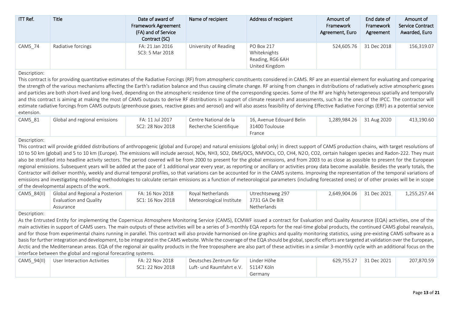| ITT Ref.                   | <b>Title</b>                                                                                                                                                                                                                                                                                                                                                                                                                                                                                                                                                                                                                                                                                                                                                                                                                                                                                                                                                                                                                                                                                                                                                                                                                                         | Date of award of<br><b>Framework Agreement</b><br>(FA) and of Service<br>Contract (SC) | Name of recipient                                 | Address of recipient                                             | Amount of<br>Framework<br>Agreement, Euro | End date of<br>Framework<br>Agreement | Amount of<br><b>Service Contract</b><br>Awarded, Euro |
|----------------------------|------------------------------------------------------------------------------------------------------------------------------------------------------------------------------------------------------------------------------------------------------------------------------------------------------------------------------------------------------------------------------------------------------------------------------------------------------------------------------------------------------------------------------------------------------------------------------------------------------------------------------------------------------------------------------------------------------------------------------------------------------------------------------------------------------------------------------------------------------------------------------------------------------------------------------------------------------------------------------------------------------------------------------------------------------------------------------------------------------------------------------------------------------------------------------------------------------------------------------------------------------|----------------------------------------------------------------------------------------|---------------------------------------------------|------------------------------------------------------------------|-------------------------------------------|---------------------------------------|-------------------------------------------------------|
| CAMS_74                    | Radiative forcings                                                                                                                                                                                                                                                                                                                                                                                                                                                                                                                                                                                                                                                                                                                                                                                                                                                                                                                                                                                                                                                                                                                                                                                                                                   | FA: 21 Jan 2016<br>SC3: 5 Mar 2018                                                     | University of Reading                             | PO Box 217<br>Whiteknights<br>Reading, RG6 6AH<br>United Kingdom | 524,605.76                                | 31 Dec 2018                           | 156,319.07                                            |
| Description:<br>extension. | This contract is for providing quantitative estimates of the Radiative Forcings (RF) from atmospheric constituents considered in CAMS. RF are an essential element for evaluating and comparing<br>the strength of the various mechanisms affecting the Earth's radiation balance and thus causing climate change. RF arising from changes in distributions of radiatively active atmospheric gases<br>and particles are both short-lived and long-lived, depending on the atmospheric residence time of the corresponding species. Some of the RF are highly heterogeneous spatially and temporally<br>and this contract is aiming at making the most of CAMS outputs to derive RF distributions in support of climate research and assessments, such as the ones of the IPCC. The contractor will<br>estimate radiative forcings from CAMS outputs (greenhouse gases, reactive gases and aerosol) and will also assess feasibility of deriving Effective Radiative Forcings (ERF) as a potential service                                                                                                                                                                                                                                           |                                                                                        |                                                   |                                                                  |                                           |                                       |                                                       |
| CAMS_81                    | Global and regional emissions                                                                                                                                                                                                                                                                                                                                                                                                                                                                                                                                                                                                                                                                                                                                                                                                                                                                                                                                                                                                                                                                                                                                                                                                                        | FA: 11 Jul 2017<br>SC2: 28 Nov 2018                                                    | Centre National de la<br>Recherche Scientifique   | 16, Avenue Edouard Belin<br>31400 Toulouse<br>France             | 1,289,984.26                              | 31 Aug 2020                           | 413,190.60                                            |
| Description:               | This contract will provide gridded distributions of anthropogenic (global and Europe) and natural emissions (global only) in direct support of CAMS production chains, with target resolutions of<br>10 to 50 km (global) and 5 to 10 km (Europe). The emissions will include aerosol, NOx, NH3, SO2, DMS/OCS, NMVOCs, CO, CH4, N2O, CO2, certain halogen species and Radon-222. They must<br>also be stratified into headline activity sectors. The period covered will be from 2000 to present for the global emissions, and from 2003 to as close as possible to present for the European<br>regional emissions. Subsequent years will be added at the pace of 1 additional year every year, as reporting or ancillary or activities proxy data become available. Besides the yearly totals, the<br>Contractor will deliver monthly, weekly and diurnal temporal profiles, so that variations can be accounted for in the CAMS systems. Improving the representation of the temporal variations of<br>emissions and investigating modelling methodologies to calculate certain emissions as a function of meteorological parameters (including forecasted ones) or of other proxies will be in scope<br>of the developmental aspects of the work. |                                                                                        |                                                   |                                                                  |                                           |                                       |                                                       |
| CAMS_84(II)                | Global and Regional a Posteriori<br>Evaluation and Quality<br>Assurance                                                                                                                                                                                                                                                                                                                                                                                                                                                                                                                                                                                                                                                                                                                                                                                                                                                                                                                                                                                                                                                                                                                                                                              | FA: 16 Nov 2018<br>SC1: 16 Nov 2018                                                    | Royal Netherlands<br>Meteorological Institute     | Utrechtseweg 297<br>3731 GA De Bilt<br>Netherlands               | 2,649,904.06                              | 31 Dec 2021                           | 1,255,257.44                                          |
| Description:               | As the Entrusted Entity for implementing the Copernicus Atmosphere Monitoring Service (CAMS), ECMWF issued a contract for Evaluation and Quality Assurance (EQA) activities, one of the<br>main activities in support of CAMS users. The main outputs of these activities will be a series of 3-monthly EQA reports for the real-time global products, the continued CAMS global reanalysis,<br>and for those from experimental chains running in parallel. This contract will also provide harmonised on-line graphics and quality monitoring statistics, using pre-existing CAMS software as a<br>basis for further integration and development, to be integrated in the CAMS website. While the coverage of the EQA should be global, specific efforts are targeted at validation over the European,<br>Arctic and the Mediterranean areas. EQA of the regional air quality products in the free troposphere are also part of these activities in a similar 3-monthly cycle with an additional focus on the<br>interface between the global and regional forecasting systems.                                                                                                                                                                     |                                                                                        |                                                   |                                                                  |                                           |                                       |                                                       |
| CAMS_94(II)                | User Interaction Activities                                                                                                                                                                                                                                                                                                                                                                                                                                                                                                                                                                                                                                                                                                                                                                                                                                                                                                                                                                                                                                                                                                                                                                                                                          | FA: 22 Nov 2018<br>SC1: 22 Nov 2018                                                    | Deutsches Zentrum für<br>Luft- und Raumfahrt e.V. | Linder Höhe<br>51147 Köln<br>Germany                             | 629,755.27                                | 31 Dec 2021                           | 207,870.59                                            |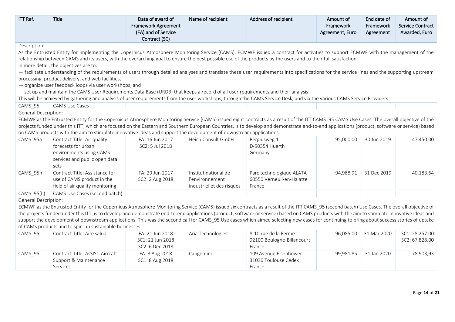| ITT Ref.                    | <b>Title</b>                                                                                                                                                                                   | Date of award of                     | Name of recipient         | Address of recipient            | Amount of       | End date of | Amount of               |
|-----------------------------|------------------------------------------------------------------------------------------------------------------------------------------------------------------------------------------------|--------------------------------------|---------------------------|---------------------------------|-----------------|-------------|-------------------------|
|                             |                                                                                                                                                                                                | Framework Agreement                  |                           |                                 | Framework       | Framework   | <b>Service Contract</b> |
|                             |                                                                                                                                                                                                | (FA) and of Service<br>Contract (SC) |                           |                                 | Agreement, Euro | Agreement   | Awarded, Euro           |
| Description:                |                                                                                                                                                                                                |                                      |                           |                                 |                 |             |                         |
|                             | As the Entrusted Entity for implementing the Copernicus Atmosphere Monitoring Service (CAMS), ECMWF issued a contract for activities to support ECMWF with the management of the               |                                      |                           |                                 |                 |             |                         |
|                             | relationship between CAMS and its users, with the overarching goal to ensure the best possible use of the products by the users and to their full satisfaction.                                |                                      |                           |                                 |                 |             |                         |
|                             | In more detail, the objectives are to:                                                                                                                                                         |                                      |                           |                                 |                 |             |                         |
|                             | - facilitate understanding of the requirements of users through detailed analyses and translate these user requirements into specifications for the service lines and the supporting upstream  |                                      |                           |                                 |                 |             |                         |
|                             | processing, product delivery, and web facilities,                                                                                                                                              |                                      |                           |                                 |                 |             |                         |
|                             | - organize user feedback loops via user workshops, and                                                                                                                                         |                                      |                           |                                 |                 |             |                         |
|                             | - set up and maintain the CAMS User Requirements Data Base (URDB) that keeps a record of all user requirements and their analysis.                                                             |                                      |                           |                                 |                 |             |                         |
|                             | This will be achieved by gathering and analysis of user requirements from the user workshops, through the CAMS Service Desk, and via the various CAMS Service Providers.                       |                                      |                           |                                 |                 |             |                         |
| CAMS 95                     | <b>CAMS Use Cases</b>                                                                                                                                                                          |                                      |                           |                                 |                 |             |                         |
| <b>General Description:</b> |                                                                                                                                                                                                |                                      |                           |                                 |                 |             |                         |
|                             | ECMWF as the Entrusted Entity for the Copernicus Atmosphere Monitoring Service (CAMS) issued eight contracts as a result of the ITT CAMS_95 CAMS Use Cases. The overall objective of the       |                                      |                           |                                 |                 |             |                         |
|                             | projects funded under this ITT, which are focused on the Eastern and Southern European Countries, is to develop and demonstrate end-to-end applications (product, software or service) based   |                                      |                           |                                 |                 |             |                         |
|                             | on CAMS products with the aim to stimulate innovative ideas and support the development of downstream applications.                                                                            |                                      |                           |                                 |                 |             |                         |
| CAMS 95a                    | Contract Title: Air quality                                                                                                                                                                    | FA: 16 Jun 2017                      | Heich Consult GmbH        | Bergiusweg 1                    | 95,000.00       | 30 Jun 2019 | 47,450.00               |
|                             | forecasts for urban                                                                                                                                                                            | SC2: 5 Jul 2018                      |                           | D-50354 Huerth                  |                 |             |                         |
|                             | environments using CAMS                                                                                                                                                                        |                                      |                           | Germany                         |                 |             |                         |
|                             | services and public open data                                                                                                                                                                  |                                      |                           |                                 |                 |             |                         |
|                             | sets                                                                                                                                                                                           |                                      |                           |                                 |                 |             |                         |
| CAMS 95h                    | Contract Title: Assistance for                                                                                                                                                                 | FA: 29 Jun 2017                      | Institut national de      | Parc technologique ALATA        | 94,988.91       | 31 Dec 2019 | 40,183.64               |
|                             | use of CAMS product in the                                                                                                                                                                     | SC2: 2 Aug 2018                      | l'environnement           | 60550 Verneuil-en-Halatte       |                 |             |                         |
|                             | field of air quality monitoring                                                                                                                                                                |                                      | industriel et des risques | France                          |                 |             |                         |
| CAMS_95(II)                 | CAMS Use Cases (second batch)                                                                                                                                                                  |                                      |                           |                                 |                 |             |                         |
| <b>General Description:</b> |                                                                                                                                                                                                |                                      |                           |                                 |                 |             |                         |
|                             |                                                                                                                                                                                                |                                      |                           |                                 |                 |             |                         |
|                             | ECMWF as the Entrusted Entity for the Copernicus Atmosphere Monitoring Service (CAMS) issued six contracts as a result of the ITT CAMS_95 (second batch) Use Cases. The overall objective of   |                                      |                           |                                 |                 |             |                         |
|                             | the projects funded under this ITT, is to develop and demonstrate end-to-end applications (product, software or service) based on CAMS products with the aim to stimulate innovative ideas and |                                      |                           |                                 |                 |             |                         |
|                             | support the development of downstream applications. This was the second call for CAMS_95 Use cases which aimed selecting new cases for continuing to bring about success stories of uptake     |                                      |                           |                                 |                 |             |                         |
|                             | of CAMS products and to spin-up sustainable businesses.                                                                                                                                        |                                      |                           |                                 |                 |             |                         |
| CAMS_95i                    | Contract Title: Aire salud                                                                                                                                                                     | FA: 21 Jun 2018                      | Aria Technologies         | 8-10 rue de la Ferme            | 96,085.00       | 31 Mar 2020 | SC1: 28,257.00          |
|                             |                                                                                                                                                                                                | SC1: 21 Jun 2018                     |                           | 92100 Boulogne-Billancourt      |                 |             | SC2: 67,828.00          |
| CAMS_95j                    | Contract Title: AsSISt: Aircraft                                                                                                                                                               | SC2: 6 Dec 2018<br>FA: 8 Aug 2018    | Capgemini                 | France<br>109 Avenue Eisenhower | 99,981.85       | 31 Jan 2020 | 78.903,93               |

France

Services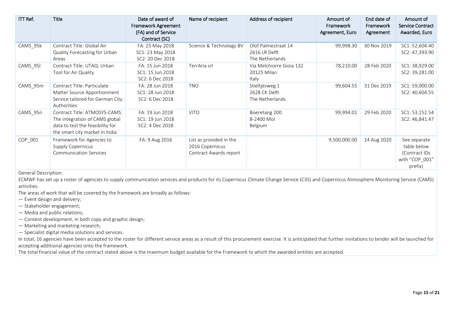| ITT Ref. | Title                                                                                                                                 | Date of award of<br><b>Framework Agreement</b><br>(FA) and of Service<br>Contract (SC) | Name of recipient                                                    | Address of recipient                                    | Amount of<br>Framework<br>Agreement, Euro | End date of<br>Framework<br>Agreement | Amount of<br><b>Service Contract</b><br>Awarded, Euro                     |
|----------|---------------------------------------------------------------------------------------------------------------------------------------|----------------------------------------------------------------------------------------|----------------------------------------------------------------------|---------------------------------------------------------|-------------------------------------------|---------------------------------------|---------------------------------------------------------------------------|
| CAMS_95k | Contract Title: Global Air<br>Quality Forecasting for Urban<br>Areas                                                                  | FA: 23 May 2018<br>SC1: 23 May 2018<br>SC2: 20 Dec 2018                                | Science & Technology BV                                              | Olof Palmestraat 14<br>2616 LR Delft<br>The Netherlands | 99,998.30                                 | 30 Nov 2019                           | SC1: 52,604.40<br>SC2: 47,393.90                                          |
| CAMS_95I | Contract Title: UTAQ: Urban<br>Tool for Air Quality                                                                                   | FA: 15 Jun 2018<br>SC1: 15 Jun 2018<br>SC2: 6 Dec 2018                                 | TerrAria srl                                                         | Via Melchiorre Gioia 132<br>20125 Milan<br>Italy        | 78,210.00                                 | 28 Feb 2020                           | SC1: 38,929.00<br>SC2: 39,281.00                                          |
| CAMS_95m | Contract Title: Particulate<br>Matter Source Apportionment<br>Service tailored for German City<br>Authorities                         | FA: 28 Jun 2018<br>SC1: 28 Jun 2018<br>SC2: 6 Dec 2018                                 | <b>TNO</b>                                                           | Stieltjesweg 1<br>2628 CK Delft<br>The Netherlands      | 99,604.55                                 | 31 Dec 2019                           | SC1: 59,000.00<br>SC2: 40,604.55                                          |
| CAMS 95n | Contract Title: ATMOSYS-CAMS:<br>The integration of CAMS global<br>data to test the feasibility for<br>the smart city market in India | FA: 19 Jun 2018<br>SC1: 19 Jun 2018<br>SC2: 4 Dec 2018                                 | <b>VITO</b>                                                          | Boeretang 200<br>B-2400 Mol<br>Belgium                  | 99,994.01                                 | 29 Feb 2020                           | SC1: 53,152.54<br>SC2: 46,841.47                                          |
| COP_001  | Framework for Agencies to<br>Supply Copernicus<br><b>Communication Services</b>                                                       | FA: 9 Aug 2016                                                                         | List as provided in the<br>2016 Copernicus<br>Contract Awards report |                                                         | 9,500,000.00                              | 14 Aug 2020                           | See separate<br>table below<br>(Contract IDs<br>with "COP 001"<br>prefix) |

General Description:

ECMWF has set up a roster of agencies to supply communication services and products for its Copernicus Climate Change Service (C3S) and Copernicus Atmosphere Monitoring Service (CAMS) activities.

The areas of work that will be covered by the framework are broadly as follows:

— Event design and delivery;

- Stakeholder engagement;
- Media and public relations;
- Content development, in both copy and graphic design;
- Marketing and marketing research;

— Specialist digital media solutions and services.

In total, 16 agencies have been accepted to the roster for different service areas as a result of this procurement exercise. It is anticipated that further invitations to tender will be launched for accepting additional agencies onto the framework.

The total financial value of the contract stated above is the maximum budget available for the Framework to which the awarded entities are accepted.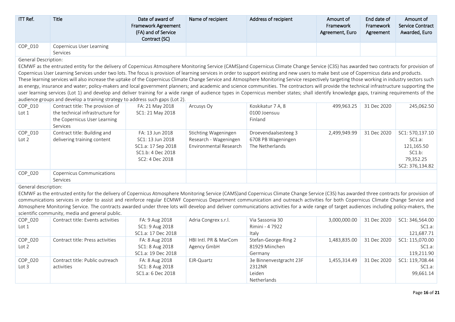| ITT Ref.                    | <b>Title</b>                                                                                                                                                                                                                                                                                                                                                                                                                                                                                                                                                                                                                                                                                                                                                                                                                                                                                                                                                                                                                                                           | Date of award of<br><b>Framework Agreement</b><br>(FA) and of Service<br>Contract (SC)            | Name of recipient                                                       | Address of recipient                                          | Amount of<br>Framework<br>Agreement, Euro | End date of<br>Framework<br>Agreement | Amount of<br>Service Contract<br>Awarded, Euro                                    |
|-----------------------------|------------------------------------------------------------------------------------------------------------------------------------------------------------------------------------------------------------------------------------------------------------------------------------------------------------------------------------------------------------------------------------------------------------------------------------------------------------------------------------------------------------------------------------------------------------------------------------------------------------------------------------------------------------------------------------------------------------------------------------------------------------------------------------------------------------------------------------------------------------------------------------------------------------------------------------------------------------------------------------------------------------------------------------------------------------------------|---------------------------------------------------------------------------------------------------|-------------------------------------------------------------------------|---------------------------------------------------------------|-------------------------------------------|---------------------------------------|-----------------------------------------------------------------------------------|
| COP_010                     | Copernicus User Learning<br>Services                                                                                                                                                                                                                                                                                                                                                                                                                                                                                                                                                                                                                                                                                                                                                                                                                                                                                                                                                                                                                                   |                                                                                                   |                                                                         |                                                               |                                           |                                       |                                                                                   |
| <b>General Description:</b> | ECMWF as the entrusted entity for the delivery of Copernicus Atmosphere Monitoring Service (CAMS)and Copernicus Climate Change Service (C3S) has awarded two contracts for provision of<br>Copernicus User Learning Services under two lots. The focus is provision of learning services in order to support existing and new users to make best use of Copernicus data and products.<br>These learning services will also increase the uptake of the Copernicus Climate Change Service and Atmosphere Monitoring Service respectively targeting those working in industry sectors such<br>as energy, insurance and water; policy-makers and local government planners; and academic and science communities. The contractors will provide the technical infrastructure supporting the<br>user learning services (Lot 1) and develop and deliver training for a wide range of audience types in Copernicus member states; shall identify knowledge gaps, training requirements of the<br>audience groups and develop a training strategy to address such gaps (Lot 2). |                                                                                                   |                                                                         |                                                               |                                           |                                       |                                                                                   |
| COP_010<br>Lot $1$          | Contract title: The provision of<br>the technical infrastructure for<br>the Copernicus User Learning<br>Services                                                                                                                                                                                                                                                                                                                                                                                                                                                                                                                                                                                                                                                                                                                                                                                                                                                                                                                                                       | FA: 21 May 2018<br>SC1: 21 May 2018                                                               | Arcusys Oy                                                              | Koskikatur 7 A, 8<br>0100 Joensuu<br>Finland                  | 499,963.25                                | 31 Dec 2020                           | 245,062.50                                                                        |
| COP_010<br>Lot 2            | Contract title: Building and<br>delivering training content                                                                                                                                                                                                                                                                                                                                                                                                                                                                                                                                                                                                                                                                                                                                                                                                                                                                                                                                                                                                            | FA: 13 Jun 2018<br>SC1: 13 Jun 2018<br>SC1.a: 17 Sep 2018<br>SC1.b: 4 Dec 2018<br>SC2: 4 Dec 2018 | Stichting Wageningen<br>Research - Wageningen<br>Environmental Research | Droevendaalsesteeg 3<br>6708 PB Wageningen<br>The Netherlands | 2,499,949.99                              | 31 Dec 2020                           | SC1: 570,137.10<br>SC1.a:<br>121,165.50<br>SC1.b:<br>79,352.25<br>SC2: 376,134.82 |
| COP_020                     | Copernicus Communications<br>Services                                                                                                                                                                                                                                                                                                                                                                                                                                                                                                                                                                                                                                                                                                                                                                                                                                                                                                                                                                                                                                  |                                                                                                   |                                                                         |                                                               |                                           |                                       |                                                                                   |
| General description:        | ECMWF as the entrusted entity for the delivery of Copernicus Atmosphere Monitoring Service (CAMS)and Copernicus Climate Change Service (C3S) has awarded three contracts for provision of<br>communications services in order to assist and reinforce regular ECMWF Copernicus Department communication and outreach activities for both Copernicus Climate Change Service and<br>Atmosphere Monitoring Service. The contracts awarded under three lots will develop and deliver communications activities for a wide range of target audiences including policy-makers, the<br>scientific community, media and general public.                                                                                                                                                                                                                                                                                                                                                                                                                                        |                                                                                                   |                                                                         |                                                               |                                           |                                       |                                                                                   |
| COP_020<br>Lot $1$          | Contract title: Events activities                                                                                                                                                                                                                                                                                                                                                                                                                                                                                                                                                                                                                                                                                                                                                                                                                                                                                                                                                                                                                                      | FA: 9 Aug 2018<br>SC1: 9 Aug 2018<br>SC1.a: 17 Dec 2018                                           | Adria Congrex s.r.l.                                                    | Via Sassonia 30<br>Rimini - 4 7922<br>Italy                   | 3,000,000.00                              | 31 Dec 2020                           | SC1: 346,564.00<br>SC1.a:<br>121,687.71                                           |
| COP_020<br>Lot 2            | Contract title: Press activities                                                                                                                                                                                                                                                                                                                                                                                                                                                                                                                                                                                                                                                                                                                                                                                                                                                                                                                                                                                                                                       | FA: 8 Aug 2018<br>SC1: 8 Aug 2018<br>SC1.a: 19 Dec 2018                                           | HBI Intl. PR & MarCom<br>Agency GmbH                                    | Stefan-George-Ring 2<br>81929 Miinchen<br>Germany             | 1,483,835.00                              | 31 Dec 2020                           | SC1: 115,070.00<br>$SC1.a$ :<br>119,211.90                                        |
| COP_020<br>Lot 3            | Contract title: Public outreach<br>activities                                                                                                                                                                                                                                                                                                                                                                                                                                                                                                                                                                                                                                                                                                                                                                                                                                                                                                                                                                                                                          | FA: 8 Aug 2018<br>SC1: 8 Aug 2018<br>SC1.a: 6 Dec 2018                                            | EJR-Quartz                                                              | 3e Binnenvestgracht 23F<br>2312NR<br>Leiden<br>Netherlands    | 1,455,314.49                              | 31 Dec 2020                           | SC1: 119,708.44<br>SC1.a:<br>99,661.14                                            |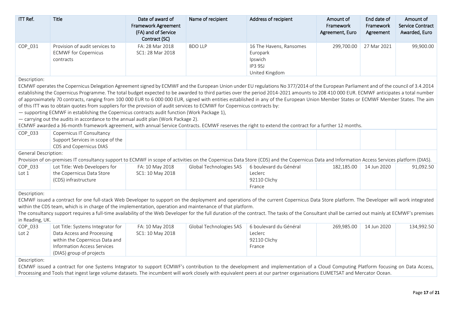| ITT Ref.                                                                                                                                                                                                                                                                                                                                                                                                                                                                                                                                                                                                                                                                                                                                                                                                                                                                                                                                                                                                                                                            | <b>Title</b>                                                                                                                                                                                                                                                                                                                                                                                                                                                                                              | Date of award of<br><b>Framework Agreement</b><br>(FA) and of Service<br>Contract (SC) | Name of recipient       | Address of recipient                                                        | Amount of<br>Framework<br>Agreement, Euro | End date of<br>Framework<br>Agreement | Amount of<br><b>Service Contract</b><br>Awarded, Euro |  |  |
|---------------------------------------------------------------------------------------------------------------------------------------------------------------------------------------------------------------------------------------------------------------------------------------------------------------------------------------------------------------------------------------------------------------------------------------------------------------------------------------------------------------------------------------------------------------------------------------------------------------------------------------------------------------------------------------------------------------------------------------------------------------------------------------------------------------------------------------------------------------------------------------------------------------------------------------------------------------------------------------------------------------------------------------------------------------------|-----------------------------------------------------------------------------------------------------------------------------------------------------------------------------------------------------------------------------------------------------------------------------------------------------------------------------------------------------------------------------------------------------------------------------------------------------------------------------------------------------------|----------------------------------------------------------------------------------------|-------------------------|-----------------------------------------------------------------------------|-------------------------------------------|---------------------------------------|-------------------------------------------------------|--|--|
| COP_031                                                                                                                                                                                                                                                                                                                                                                                                                                                                                                                                                                                                                                                                                                                                                                                                                                                                                                                                                                                                                                                             | Provision of audit services to<br><b>ECMWF for Copernicus</b><br>contracts                                                                                                                                                                                                                                                                                                                                                                                                                                | FA: 28 Mar 2018<br>SC1: 28 Mar 2018                                                    | <b>BDO LLP</b>          | 16 The Havens, Ransomes<br>Europark<br>Ipswich<br>IP3 9SJ<br>United Kingdom | 299,700.00                                | 27 Mar 2021                           | 99,900.00                                             |  |  |
| Description:<br>ECMWF operates the Copernicus Delegation Agreement signed by ECMWF and the European Union under EU regulations No 377/2014 of the European Parliament and of the council of 3.4.2014<br>establishing the Copernicus Programme. The total budget expected to be awarded to third parties over the period 2014-2021 amounts to 208 410 000 EUR. ECMWF anticipates a total number<br>of approximately 70 contracts, ranging from 100 000 EUR to 6 000 000 EUR, signed with entities established in any of the European Union Member States or ECMWF Member States. The aim<br>of this ITT was to obtain quotes from suppliers for the provision of audit services to ECMWF for Copernicus contracts by:<br>- supporting ECMWF in establishing the Copernicus contracts audit function (Work Package 1),<br>- carrying out the audits in accordance to the annual audit plan (Work Package 2).<br>ECMWF awarded a 36-month framework agreement, with annual Service Contracts. ECMWF reserves the right to extend the contract for a further 12 months. |                                                                                                                                                                                                                                                                                                                                                                                                                                                                                                           |                                                                                        |                         |                                                                             |                                           |                                       |                                                       |  |  |
| COP 033                                                                                                                                                                                                                                                                                                                                                                                                                                                                                                                                                                                                                                                                                                                                                                                                                                                                                                                                                                                                                                                             | Copernicus IT Consultancy<br>Support Services in scope of the<br>CDS and Copernicus DIAS                                                                                                                                                                                                                                                                                                                                                                                                                  |                                                                                        |                         |                                                                             |                                           |                                       |                                                       |  |  |
| General Description:                                                                                                                                                                                                                                                                                                                                                                                                                                                                                                                                                                                                                                                                                                                                                                                                                                                                                                                                                                                                                                                | Provision of on-premises IT consultancy support to ECMWF in scope of activities on the Copernicus Data Store (CDS) and the Copernicus Data and Information Access Services platform (DIAS).                                                                                                                                                                                                                                                                                                               |                                                                                        |                         |                                                                             |                                           |                                       |                                                       |  |  |
| COP_033<br>Lot <sub>1</sub>                                                                                                                                                                                                                                                                                                                                                                                                                                                                                                                                                                                                                                                                                                                                                                                                                                                                                                                                                                                                                                         | Lot Title: Web Developers for<br>the Copernicus Data Store<br>(CDS) infrastructure                                                                                                                                                                                                                                                                                                                                                                                                                        | FA: 10 May 2018<br>SC1: 10 May 2018                                                    | Global Technologies SAS | 6 boulevard du Général<br>Leclerc<br>92110 Clichy<br>France                 | 182,185.00                                | 14 Jun 2020                           | 91,092.50                                             |  |  |
| Description:<br>in Reading, UK.                                                                                                                                                                                                                                                                                                                                                                                                                                                                                                                                                                                                                                                                                                                                                                                                                                                                                                                                                                                                                                     | ECMWF issued a contract for one full-stack Web Developer to support on the deployment and operations of the current Copernicus Data Store platform. The Developer will work integrated<br>within the CDS team, which is in charge of the implementation, operation and maintenance of that platform.<br>The consultancy support requires a full-time availability of the Web Developer for the full duration of the contract. The tasks of the Consultant shall be carried out mainly at ECMWF's premises |                                                                                        |                         |                                                                             |                                           |                                       |                                                       |  |  |
| COP_033<br>Lot <sub>2</sub>                                                                                                                                                                                                                                                                                                                                                                                                                                                                                                                                                                                                                                                                                                                                                                                                                                                                                                                                                                                                                                         | Lot Title: Systems Integrator for<br>Data Access and Processing<br>within the Copernicus Data and<br><b>Information Access Services</b><br>(DIAS) group of projects                                                                                                                                                                                                                                                                                                                                       | FA: 10 May 2018<br>SC1: 10 May 2018                                                    | Global Technologies SAS | 6 boulevard du Général<br>Leclerc<br>92110 Clichy<br>France                 | 269,985.00                                | 14 Jun 2020                           | 134,992.50                                            |  |  |
| Description:                                                                                                                                                                                                                                                                                                                                                                                                                                                                                                                                                                                                                                                                                                                                                                                                                                                                                                                                                                                                                                                        | ECMWF issued a contract for one Systems Integrator to support ECMWF's contribution to the development and implementation of a Cloud Computing Platform focusing on Data Access,<br>Processing and Tools that ingest large volume datasets. The incumbent will work closely with equivalent peers at our partner organisations EUMETSAT and Mercator Ocean.                                                                                                                                                |                                                                                        |                         |                                                                             |                                           |                                       |                                                       |  |  |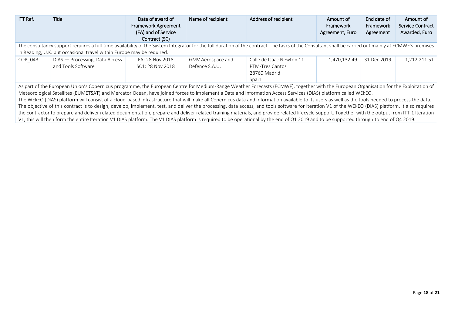| ITT Ref. | <b>Title</b>                                                                                                                                                                                          | Date of award of<br><b>Framework Agreement</b> | Name of recipient | Address of recipient     | Amount of<br>Framework | End date of<br>Framework | Amount of<br>Service Contract |  |  |  |
|----------|-------------------------------------------------------------------------------------------------------------------------------------------------------------------------------------------------------|------------------------------------------------|-------------------|--------------------------|------------------------|--------------------------|-------------------------------|--|--|--|
|          |                                                                                                                                                                                                       | (FA) and of Service                            |                   |                          | Agreement, Euro        | Agreement                | Awarded, Euro                 |  |  |  |
|          |                                                                                                                                                                                                       | Contract (SC)                                  |                   |                          |                        |                          |                               |  |  |  |
|          | The consultancy support requires a full-time availability of the System Integrator for the full duration of the contract. The tasks of the Consultant shall be carried out mainly at ECMWF's premises |                                                |                   |                          |                        |                          |                               |  |  |  |
|          | in Reading, U.K. but occasional travel within Europe may be required.                                                                                                                                 |                                                |                   |                          |                        |                          |                               |  |  |  |
| COP 043  | DIAS - Processing, Data Access                                                                                                                                                                        | FA: 28 Nov 2018                                | GMV Aerospace and | Calle de Isaac Newton 11 | 1.470.132.49           | 31 Dec 2019              | 1,212,211.51                  |  |  |  |
|          | and Tools Software                                                                                                                                                                                    | SC1: 28 Nov 2018                               | Defence S.A.U.    | PTM-Tres Cantos          |                        |                          |                               |  |  |  |
|          |                                                                                                                                                                                                       |                                                |                   | 28760 Madrid             |                        |                          |                               |  |  |  |
|          |                                                                                                                                                                                                       |                                                |                   | Spain                    |                        |                          |                               |  |  |  |
|          | As part of the European Union's Copernicus programme, the European Centre for Medium-Range Weather Forecasts (ECMWF), together with the European Organisation for the Exploitation of                 |                                                |                   |                          |                        |                          |                               |  |  |  |
|          | Meteorological Satellites (EUMETSAT) and Mercator Ocean, have joined forces to implement a Data and Information Access Services (DIAS) platform called WEKEO.                                         |                                                |                   |                          |                        |                          |                               |  |  |  |
|          | The WEkEO (DIAS) platform will consist of a cloud-based infrastructure that will make all Copernicus data and information available to its users as well as the tools needed to process the data.     |                                                |                   |                          |                        |                          |                               |  |  |  |
|          | The objective of this contract is to design, develop, implement, test, and deliver the processing, data access, and tools software for Iteration V1 of the WEkEO (DIAS) platform. It also requires    |                                                |                   |                          |                        |                          |                               |  |  |  |
|          | the contractor to prepare and deliver related documentation, prepare and deliver related training materials, and provide related lifecycle support. Together with the output from ITT-1 Iteration     |                                                |                   |                          |                        |                          |                               |  |  |  |
|          | V1, this will then form the entire Iteration V1 DIAS platform. The V1 DIAS platform is required to be operational by the end of Q1 2019 and to be supported through to end of Q4 2019.                |                                                |                   |                          |                        |                          |                               |  |  |  |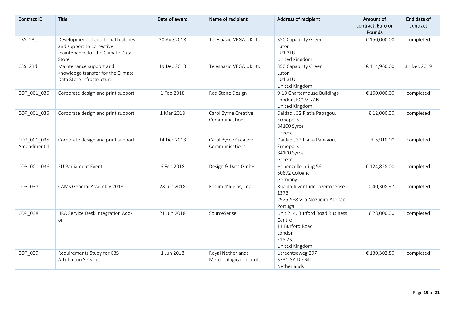| Contract ID                | <b>Title</b>                                                                                                 | Date of award | Name of recipient                             | Address of recipient                                                                                | Amount of<br>contract, Euro or<br>Pounds | End date of<br>contract |
|----------------------------|--------------------------------------------------------------------------------------------------------------|---------------|-----------------------------------------------|-----------------------------------------------------------------------------------------------------|------------------------------------------|-------------------------|
| C3S_23c                    | Development of additional features<br>and support to corrective<br>maintenance for the Climate Data<br>Store | 20 Aug 2018   | Telespazio VEGA UK Ltd                        | 350 Capability Green<br>Luton<br>LU13LU<br>United Kingdom                                           | € 150,000.00                             | completed               |
| C3S_23d                    | Maintenance support and<br>knowledge transfer for the Climate<br>Data Store Infrastructure                   | 19 Dec 2018   | Telespazio VEGA UK Ltd                        | 350 Capability Green<br>Luton<br>LU13LU<br>United Kingdom                                           | € 114,960.00                             | 31 Dec 2019             |
| COP_001_035                | Corporate design and print support                                                                           | 1 Feb 2018    | Red Stone Design                              | 9-10 Charterhouse Buildings<br>London, EC1M 7AN<br>United Kingdom                                   | € 150,000.00                             | completed               |
| COP_001_035                | Corporate design and print support                                                                           | 1 Mar 2018    | Carol Byrne Creative<br>Communications        | Daidadi, 32 Platia Papagou,<br>Ermopolis<br>84100 Syros<br>Greece                                   | € 12,000.00                              | completed               |
| COP_001_035<br>Amendment 1 | Corporate design and print support                                                                           | 14 Dec 2018   | Carol Byrne Creative<br>Communications        | Daidadi, 32 Platia Papagou,<br>Ermopolis<br>84100 Syros<br>Greece                                   | € 6,910.00                               | completed               |
| COP 001 036                | <b>EU Parliament Event</b>                                                                                   | 6 Feb 2018    | Design & Data GmbH                            | Hohenzollernring 56<br>50672 Cologne<br>Germany                                                     | € 124,828.00                             | completed               |
| COP_037                    | CAMS General Assembly 2018                                                                                   | 28 Jun 2018   | Forum d'Ideias, Lda                           | Rua da Juventude Azeitonense,<br>137B<br>2925-588 Vila Nogueira Azeitão<br>Portugal                 | € 40,308.97                              | completed               |
| COP_038                    | JIRA Service Desk Integration Add-<br>on                                                                     | 21 Jun 2018   | SourceSense                                   | Unit 214, Burford Road Business<br>Centre<br>11 Burford Road<br>London<br>E15 2ST<br>United Kingdom | € 28,000.00                              | completed               |
| COP_039                    | Requirements Study for C3S<br><b>Attribution Services</b>                                                    | 1 Jun 2018    | Royal Netherlands<br>Meteorological Institute | Utrechtseweg 297<br>3731 GA De Bilt<br>Netherlands                                                  | € 130,302.80                             | completed               |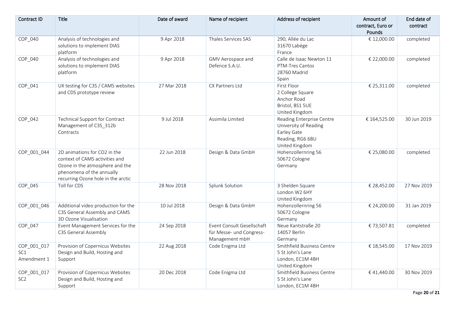| Contract ID                       | Title                                                                                                                                                                | Date of award | Name of recipient                                                        | Address of recipient                                                                                    | Amount of<br>contract, Euro or<br>Pounds | End date of<br>contract |
|-----------------------------------|----------------------------------------------------------------------------------------------------------------------------------------------------------------------|---------------|--------------------------------------------------------------------------|---------------------------------------------------------------------------------------------------------|------------------------------------------|-------------------------|
| COP_040                           | Analysis of technologies and<br>solutions to implement DIAS<br>platform                                                                                              | 9 Apr 2018    | Thales Services SAS                                                      | 290, Allée du Lac<br>31670 Labège<br>France                                                             | € 12,000.00                              | completed               |
| COP_040                           | Analysis of technologies and<br>solutions to implement DIAS<br>platform                                                                                              | 9 Apr 2018    | GMV Aerospace and<br>Defence S.A.U.                                      | Calle de Isaac Newton 11<br>PTM-Tres Cantos<br>28760 Madrid<br>Spain                                    | € 22,000.00                              | completed               |
| COP_041                           | UX testing for C3S / CAMS websites<br>and CDS prototype review                                                                                                       | 27 Mar 2018   | CX Partners Ltd                                                          | First Floor<br>2 College Square<br>Anchor Road<br>Bristol, BS1 5UE<br>United Kingdom                    | € 25,311.00                              | completed               |
| COP_042                           | Technical Support for Contract<br>Management of C3S 312b<br>Contracts                                                                                                | 9 Jul 2018    | Assimila Limited                                                         | Reading Enterprise Centre<br>University of Reading<br>Earley Gate<br>Reading, RG6 6BU<br>United Kingdom | € 164,525.00                             | 30 Jun 2019             |
| COP 001 044                       | 2D animations for CO2 in the<br>context of CAMS activities and<br>Ozone in the atmosphere and the<br>phenomena of the annually<br>recurring Ozone hole in the arctic | 22 Jun 2018   | Design & Data GmbH                                                       | Hohenzollernring 56<br>50672 Cologne<br>Germany                                                         | € 25,080.00                              | completed               |
| COP_045                           | Toll for CDS                                                                                                                                                         | 28 Nov 2018   | Splunk Solution                                                          | 3 Shelden Square<br>London W2 6HY<br>United Kingdom                                                     | € 28,452.00                              | 27 Nov 2019             |
| COP_001_046                       | Additional video production for the<br>C3S General Assembly and CAMS<br>3D Ozone Visualisation                                                                       | 10 Jul 2018   | Design & Data GmbH                                                       | Hohenzollernring 56<br>50672 Cologne<br>Germany                                                         | € 24,200.00                              | 31 Jan 2019             |
| COP 047                           | Event Management Services for the<br>C3S General Assembly                                                                                                            | 24 Sep 2018   | Event Consult Gesellschaft<br>für Messe- und Congress-<br>Management mbH | Neue Kantstraße 20<br>14057 Berlin<br>Germany                                                           | €73,507.81                               | completed               |
| COP_001_017<br>SC1<br>Amendment 1 | Provision of Copernicus Websites<br>Design and Build, Hosting and<br>Support                                                                                         | 22 Aug 2018   | Code Enigma Ltd                                                          | Smithfield Business Centre<br>5 St John's Lane<br>London, EC1M 4BH<br>United Kingdom                    | € 18,545.00                              | 17 Nov 2019             |
| COP_001_017<br>SC <sub>2</sub>    | Provision of Copernicus Websites<br>Design and Build, Hosting and<br>Support                                                                                         | 20 Dec 2018   | Code Enigma Ltd                                                          | Smithfield Business Centre<br>5 St John's Lane<br>London, EC1M 4BH                                      | €41,440.00                               | 30 Nov 2019             |